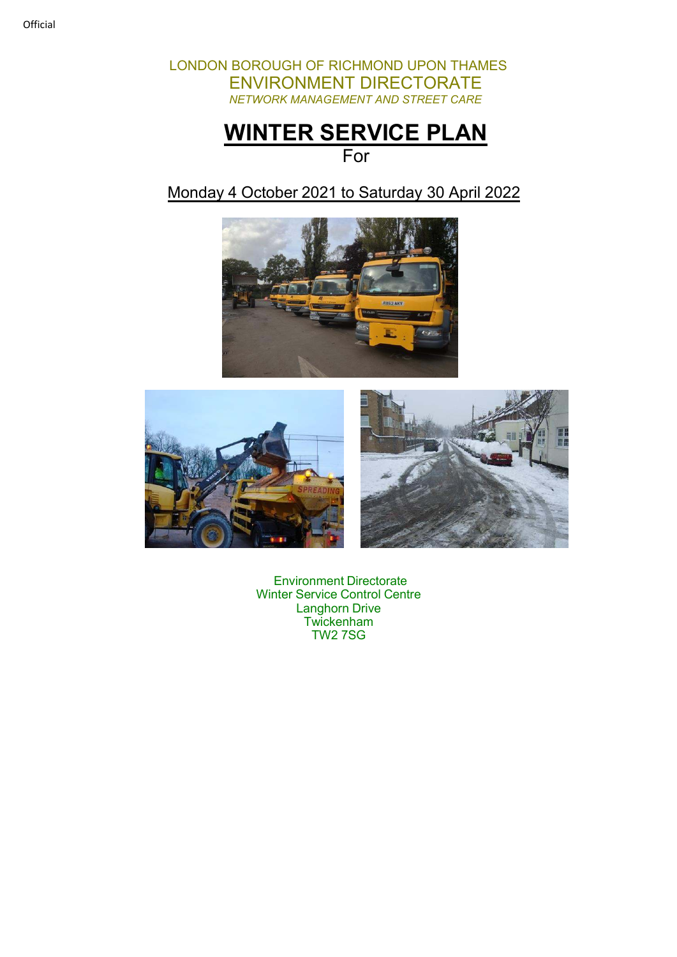LONDON BOROUGH OF RICHMOND UPON THAMES ENVIRONMENT DIRECTORATE *NETWORK MANAGEMENT AND STREET CARE*

# **WINTER SERVICE PLAN**

# For

## Monday 4 October 2021 to Saturday 30 April 2022





Environment Directorate Winter Service Control Centre Langhorn Drive **Twickenham** TW2 7SG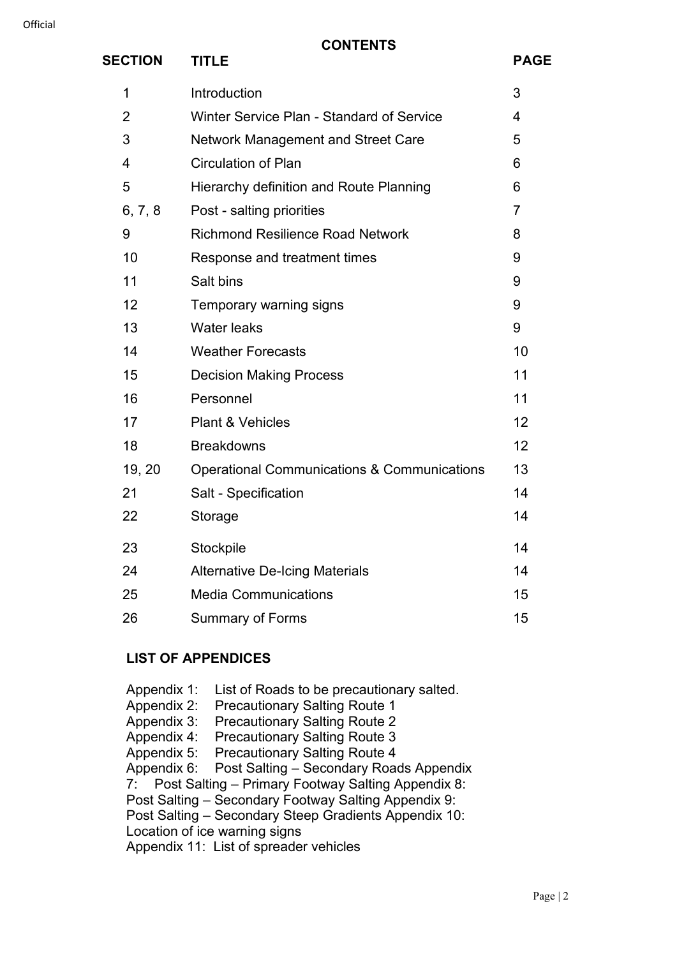| <b>SECTION</b> | <b>TITLE</b>                                           | <b>PAGE</b>    |
|----------------|--------------------------------------------------------|----------------|
| 1              | Introduction                                           | 3              |
| $\overline{2}$ | Winter Service Plan - Standard of Service              | $\overline{4}$ |
| 3              | <b>Network Management and Street Care</b>              | 5              |
| $\overline{4}$ | <b>Circulation of Plan</b>                             | 6              |
| 5              | Hierarchy definition and Route Planning                | 6              |
| 6, 7, 8        | Post - salting priorities                              | $\overline{7}$ |
| 9              | <b>Richmond Resilience Road Network</b>                | 8              |
| 10             | Response and treatment times                           | 9              |
| 11             | Salt bins                                              | 9              |
| 12             | Temporary warning signs                                | 9              |
| 13             | <b>Water leaks</b>                                     | 9              |
| 14             | <b>Weather Forecasts</b>                               | 10             |
| 15             | <b>Decision Making Process</b>                         | 11             |
| 16             | Personnel                                              | 11             |
| 17             | <b>Plant &amp; Vehicles</b>                            | 12             |
| 18             | <b>Breakdowns</b>                                      | 12             |
| 19, 20         | <b>Operational Communications &amp; Communications</b> | 13             |
| 21             | Salt - Specification                                   | 14             |
| 22             | Storage                                                | 14             |
| 23             | Stockpile                                              | 14             |
| 24             | <b>Alternative De-Icing Materials</b>                  | 14             |
| 25             | <b>Media Communications</b>                            | 15             |
| 26             | <b>Summary of Forms</b>                                | 15             |

#### **LIST OF APPENDICES**

Appendix 1: List of Roads to be precautionary salted. Appendix 2: Precautionary Salting Route 1 Appendix 3: Precautionary Salting Route 2 Appendix 4: Precautionary Salting Route 3<br>Appendix 5: Precautionary Salting Route 4 Precautionary Salting Route 4 Appendix 6: Post Salting – Secondary Roads Appendix 7: Post Salting – Primary Footway Salting Appendix 8: Post Salting – Secondary Footway Salting Appendix 9: Post Salting – Secondary Steep Gradients Appendix 10: Location of ice warning signs Appendix 11: List of spreader vehicles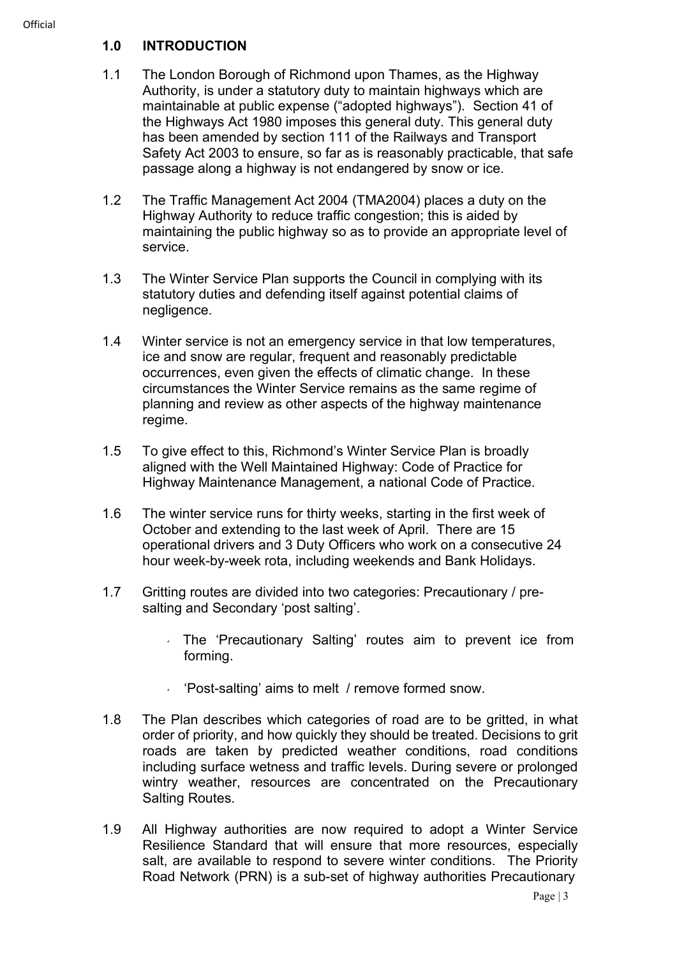- 1.1 The London Borough of Richmond upon Thames, as the Highway Authority, is under a statutory duty to maintain highways which are maintainable at public expense ("adopted highways"). Section 41 of the Highways Act 1980 imposes this general duty. This general duty has been amended by section 111 of the Railways and Transport Safety Act 2003 to ensure, so far as is reasonably practicable, that safe passage along a highway is not endangered by snow or ice.
- 1.2 The Traffic Management Act 2004 (TMA2004) places a duty on the Highway Authority to reduce traffic congestion; this is aided by maintaining the public highway so as to provide an appropriate level of service.
- 1.3 The Winter Service Plan supports the Council in complying with its statutory duties and defending itself against potential claims of negligence.
- 1.4 Winter service is not an emergency service in that low temperatures, ice and snow are regular, frequent and reasonably predictable occurrences, even given the effects of climatic change. In these circumstances the Winter Service remains as the same regime of planning and review as other aspects of the highway maintenance regime.
- 1.5 To give effect to this, Richmond's Winter Service Plan is broadly aligned with the Well Maintained Highway: Code of Practice for Highway Maintenance Management, a national Code of Practice.
- 1.6 The winter service runs for thirty weeks, starting in the first week of October and extending to the last week of April. There are 15 operational drivers and 3 Duty Officers who work on a consecutive 24 hour week-by-week rota, including weekends and Bank Holidays.
- 1.7 Gritting routes are divided into two categories: Precautionary / presalting and Secondary 'post salting'.
	- The 'Precautionary Salting' routes aim to prevent ice from forming.
	- $\sqrt{P}$  'Post-salting' aims to melt / remove formed snow.
- 1.8 The Plan describes which categories of road are to be gritted, in what order of priority, and how quickly they should be treated. Decisions to grit roads are taken by predicted weather conditions, road conditions including surface wetness and traffic levels. During severe or prolonged wintry weather, resources are concentrated on the Precautionary Salting Routes.
- 1.9 All Highway authorities are now required to adopt a Winter Service Resilience Standard that will ensure that more resources, especially salt, are available to respond to severe winter conditions. The Priority Road Network (PRN) is a sub-set of highway authorities Precautionary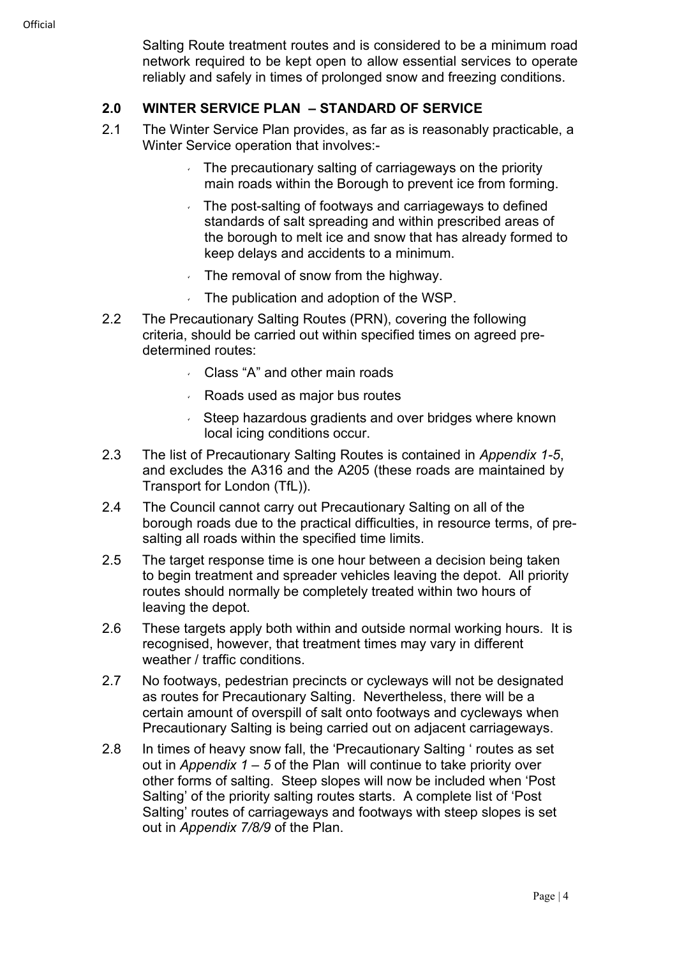Salting Route treatment routes and is considered to be a minimum road network required to be kept open to allow essential services to operate reliably and safely in times of prolonged snow and freezing conditions.

#### **2.0 WINTER SERVICE PLAN – STANDARD OF SERVICE**

- 2.1 The Winter Service Plan provides, as far as is reasonably practicable, a Winter Service operation that involves:-
	- $\overline{a}$ . The precautionary salting of carriageways on the priority main roads within the Borough to prevent ice from forming.
	- The post-salting of footways and carriageways to defined standards of salt spreading and within prescribed areas of the borough to melt ice and snow that has already formed to keep delays and accidents to a minimum.
	- $\sqrt{ }$  The removal of snow from the highway.
	- The publication and adoption of the WSP.
- 2.2 The Precautionary Salting Routes (PRN), covering the following criteria, should be carried out within specified times on agreed predetermined routes:
	- Class "A" and other main roads
	- Roads used as major bus routes
	- Steep hazardous gradients and over bridges where known local icing conditions occur.
- 2.3 The list of Precautionary Salting Routes is contained in *Appendix 1-5*, and excludes the A316 and the A205 (these roads are maintained by Transport for London (TfL)).
- 2.4 The Council cannot carry out Precautionary Salting on all of the borough roads due to the practical difficulties, in resource terms, of presalting all roads within the specified time limits.
- 2.5 The target response time is one hour between a decision being taken to begin treatment and spreader vehicles leaving the depot. All priority routes should normally be completely treated within two hours of leaving the depot.
- 2.6 These targets apply both within and outside normal working hours. It is recognised, however, that treatment times may vary in different weather / traffic conditions.
- 2.7 No footways, pedestrian precincts or cycleways will not be designated as routes for Precautionary Salting. Nevertheless, there will be a certain amount of overspill of salt onto footways and cycleways when Precautionary Salting is being carried out on adjacent carriageways.
- 2.8 In times of heavy snow fall, the 'Precautionary Salting ' routes as set out in *Appendix 1 – 5* of the Plan will continue to take priority over other forms of salting. Steep slopes will now be included when 'Post Salting' of the priority salting routes starts. A complete list of 'Post Salting' routes of carriageways and footways with steep slopes is set out in *Appendix 7/8/9* of the Plan.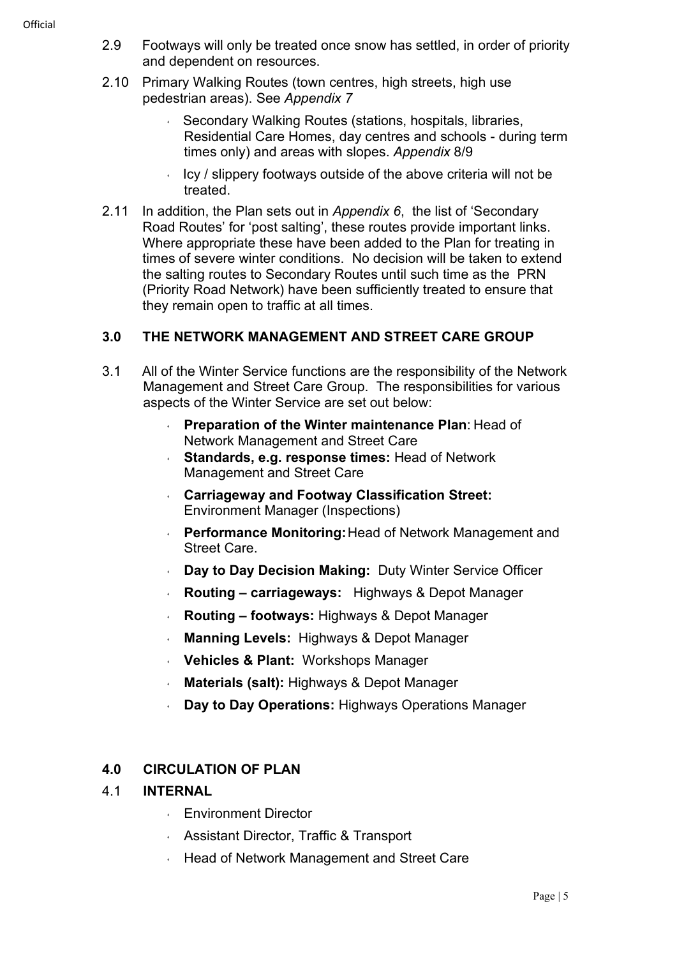- 2.9 Footways will only be treated once snow has settled, in order of priority and dependent on resources.
- 2.10 Primary Walking Routes (town centres, high streets, high use pedestrian areas). See *Appendix 7*
	- ↓ Secondary Walking Routes (stations, hospitals, libraries, Residential Care Homes, day centres and schools - during term times only) and areas with slopes. *Appendix* 8/9
	- Icy / slippery footways outside of the above criteria will not be treated.
- 2.11 In addition, the Plan sets out in *Appendix 6*, the list of 'Secondary Road Routes' for 'post salting', these routes provide important links. Where appropriate these have been added to the Plan for treating in times of severe winter conditions. No decision will be taken to extend the salting routes to Secondary Routes until such time as the PRN (Priority Road Network) have been sufficiently treated to ensure that they remain open to traffic at all times.

#### **3.0 THE NETWORK MANAGEMENT AND STREET CARE GROUP**

- 3.1 All of the Winter Service functions are the responsibility of the Network Management and Street Care Group. The responsibilities for various aspects of the Winter Service are set out below:
	- **Preparation of the Winter maintenance Plan**: Head of Network Management and Street Care
	- **Standards, e.g. response times:** Head of Network Management and Street Care
	- **Carriageway and Footway Classification Street:** Environment Manager (Inspections)
	- **Performance Monitoring: Head of Network Management and** Street Care.
	- **Day to Day Decision Making:** Duty Winter Service Officer
	- **Routing carriageways:** Highways & Depot Manager
	- **Routing footways:** Highways & Depot Manager
	- **Manning Levels:** Highways & Depot Manager
	- **Vehicles & Plant:** Workshops Manager
	- **Materials (salt):** Highways & Depot Manager
	- **Day to Day Operations:** Highways Operations Manager

#### **4.0 CIRCULATION OF PLAN**

#### 4.1 **INTERNAL**

- **Environment Director**
- Assistant Director, Traffic & Transport
- **Head of Network Management and Street Care**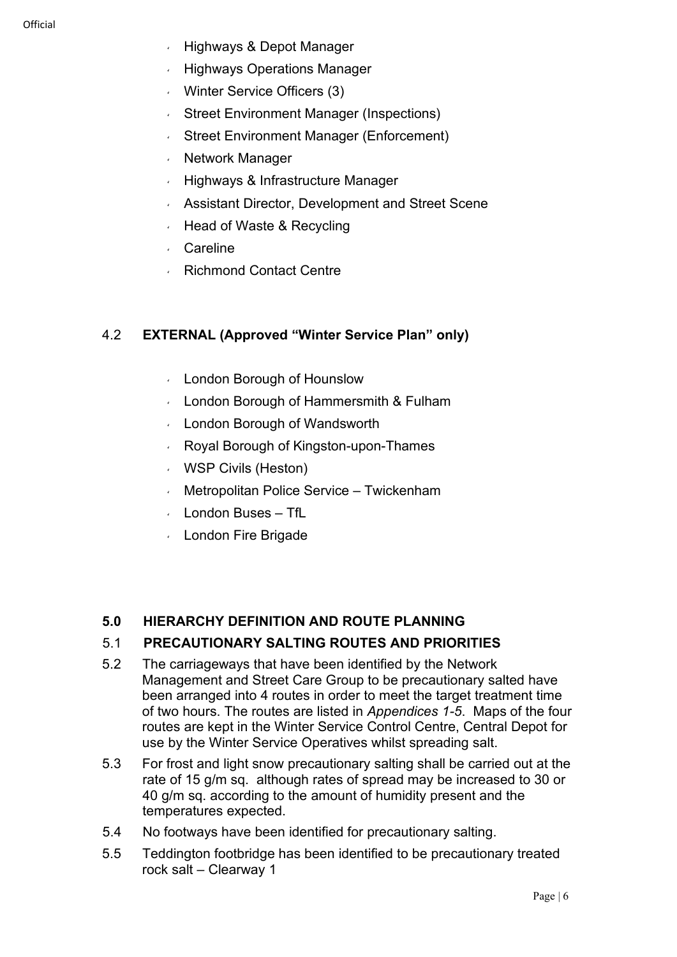- $\sqrt{ }$  Highways & Depot Manager
- Highways Operations Manager
- Winter Service Officers (3)
- Street Environment Manager (Inspections)
- Street Environment Manager (Enforcement)
- **Network Manager**
- Highways & Infrastructure Manager
- Assistant Director, Development and Street Scene
- Head of Waste & Recycling
- Careline
- Richmond Contact Centre

#### 4.2 **EXTERNAL (Approved "Winter Service Plan" only)**

- London Borough of Hounslow
- London Borough of Hammersmith & Fulham
- London Borough of Wandsworth
- Royal Borough of Kingston-upon-Thames
- WSP Civils (Heston)
- Metropolitan Police Service Twickenham
- London Buses TfL
- London Fire Brigade

#### **5.0 HIERARCHY DEFINITION AND ROUTE PLANNING**

#### 5.1 **PRECAUTIONARY SALTING ROUTES AND PRIORITIES**

- 5.2 The carriageways that have been identified by the Network Management and Street Care Group to be precautionary salted have been arranged into 4 routes in order to meet the target treatment time of two hours. The routes are listed in *Appendices 1-5*. Maps of the four routes are kept in the Winter Service Control Centre, Central Depot for use by the Winter Service Operatives whilst spreading salt.
- 5.3 For frost and light snow precautionary salting shall be carried out at the rate of 15 g/m sq. although rates of spread may be increased to 30 or 40 g/m sq. according to the amount of humidity present and the temperatures expected.
- 5.4 No footways have been identified for precautionary salting.
- 5.5 Teddington footbridge has been identified to be precautionary treated rock salt – Clearway 1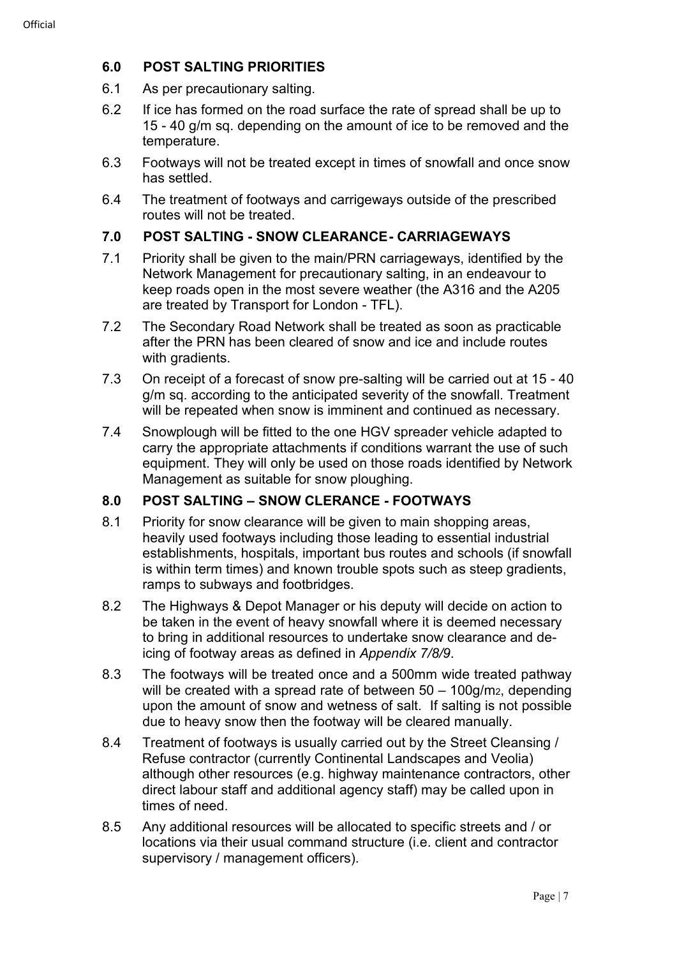#### **6.0 POST SALTING PRIORITIES**

- 6.1 As per precautionary salting.
- 6.2 If ice has formed on the road surface the rate of spread shall be up to 15 - 40 g/m sq. depending on the amount of ice to be removed and the temperature.
- 6.3 Footways will not be treated except in times of snowfall and once snow has settled.
- 6.4 The treatment of footways and carrigeways outside of the prescribed routes will not be treated.

#### **7.0 POST SALTING - SNOW CLEARANCE- CARRIAGEWAYS**

- 7.1 Priority shall be given to the main/PRN carriageways, identified by the Network Management for precautionary salting, in an endeavour to keep roads open in the most severe weather (the A316 and the A205 are treated by Transport for London - TFL).
- 7.2 The Secondary Road Network shall be treated as soon as practicable after the PRN has been cleared of snow and ice and include routes with gradients.
- 7.3 On receipt of a forecast of snow pre-salting will be carried out at 15 40 g/m sq. according to the anticipated severity of the snowfall. Treatment will be repeated when snow is imminent and continued as necessary.
- 7.4 Snowplough will be fitted to the one HGV spreader vehicle adapted to carry the appropriate attachments if conditions warrant the use of such equipment. They will only be used on those roads identified by Network Management as suitable for snow ploughing.

#### **8.0 POST SALTING – SNOW CLERANCE - FOOTWAYS**

- 8.1 Priority for snow clearance will be given to main shopping areas, heavily used footways including those leading to essential industrial establishments, hospitals, important bus routes and schools (if snowfall is within term times) and known trouble spots such as steep gradients, ramps to subways and footbridges.
- 8.2 The Highways & Depot Manager or his deputy will decide on action to be taken in the event of heavy snowfall where it is deemed necessary to bring in additional resources to undertake snow clearance and deicing of footway areas as defined in *Appendix 7/8/9*.
- 8.3 The footways will be treated once and a 500mm wide treated pathway will be created with a spread rate of between 50 – 100g/m<sub>2</sub>, depending upon the amount of snow and wetness of salt. If salting is not possible due to heavy snow then the footway will be cleared manually.
- 8.4 Treatment of footways is usually carried out by the Street Cleansing / Refuse contractor (currently Continental Landscapes and Veolia) although other resources (e.g. highway maintenance contractors, other direct labour staff and additional agency staff) may be called upon in times of need.
- 8.5 Any additional resources will be allocated to specific streets and / or locations via their usual command structure (i.e. client and contractor supervisory / management officers).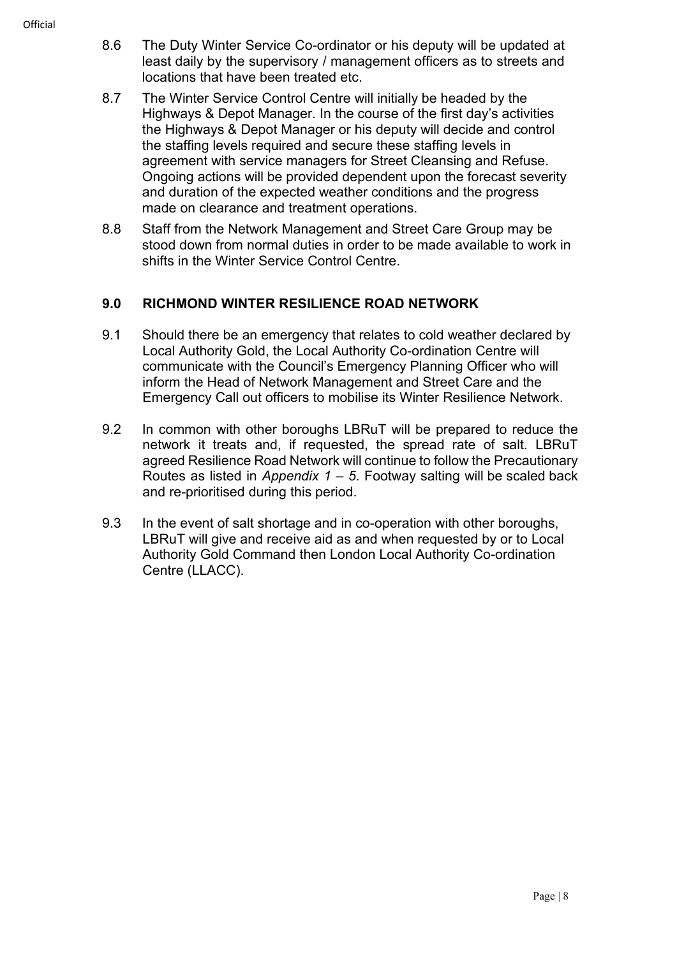- 8.6 The Duty Winter Service Co-ordinator or his deputy will be updated at least daily by the supervisory / management officers as to streets and locations that have been treated etc.
- 8.7 The Winter Service Control Centre will initially be headed by the Highways & Depot Manager. In the course of the first day's activities the Highways & Depot Manager or his deputy will decide and control the staffing levels required and secure these staffing levels in agreement with service managers for Street Cleansing and Refuse. Ongoing actions will be provided dependent upon the forecast severity and duration of the expected weather conditions and the progress made on clearance and treatment operations.
- 8.8 Staff from the Network Management and Street Care Group may be stood down from normal duties in order to be made available to work in shifts in the Winter Service Control Centre.

#### **9.0 RICHMOND WINTER RESILIENCE ROAD NETWORK**

- 9.1 Should there be an emergency that relates to cold weather declared by Local Authority Gold, the Local Authority Co-ordination Centre will communicate with the Council's Emergency Planning Officer who will inform the Head of Network Management and Street Care and the Emergency Call out officers to mobilise its Winter Resilience Network.
- 9.2 In common with other boroughs LBRuT will be prepared to reduce the network it treats and, if requested, the spread rate of salt. LBRuT agreed Resilience Road Network will continue to follow the Precautionary Routes as listed in *Appendix 1 – 5*. Footway salting will be scaled back and re-prioritised during this period.
- 9.3 In the event of salt shortage and in co-operation with other boroughs, LBRuT will give and receive aid as and when requested by or to Local Authority Gold Command then London Local Authority Co-ordination Centre (LLACC).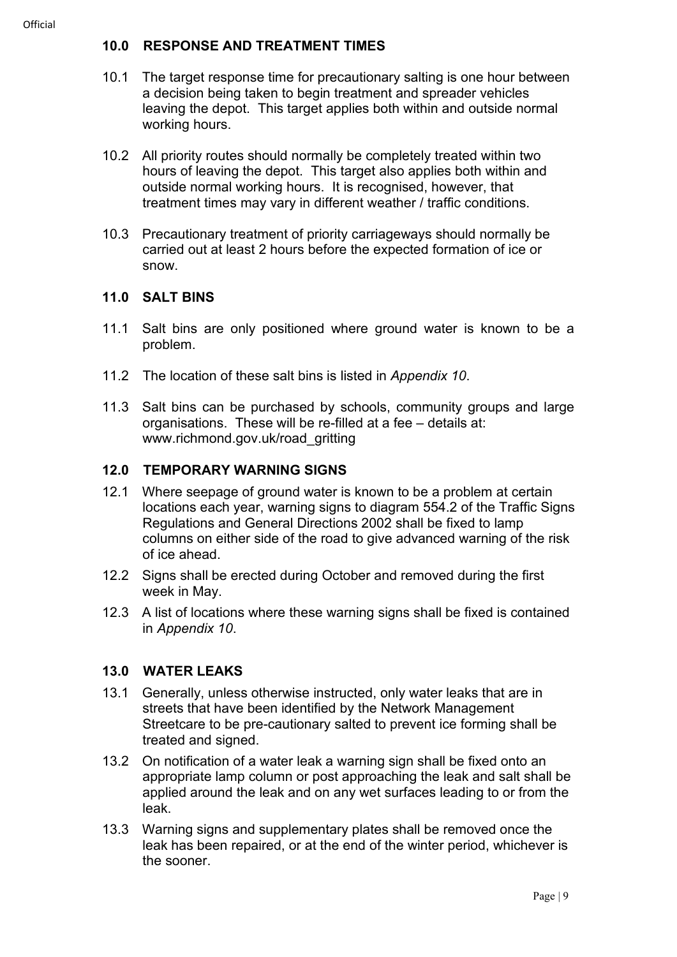#### **10.0 RESPONSE AND TREATMENT TIMES**

- 10.1 The target response time for precautionary salting is one hour between a decision being taken to begin treatment and spreader vehicles leaving the depot. This target applies both within and outside normal working hours.
- 10.2 All priority routes should normally be completely treated within two hours of leaving the depot. This target also applies both within and outside normal working hours. It is recognised, however, that treatment times may vary in different weather / traffic conditions.
- 10.3 Precautionary treatment of priority carriageways should normally be carried out at least 2 hours before the expected formation of ice or snow.

#### **11.0 SALT BINS**

- 11.1 Salt bins are only positioned where ground water is known to be a problem.
- 11.2 The location of these salt bins is listed in *Appendix 10*.
- 11.3 Salt bins can be purchased by schools, community groups and large organisations. These will be re-filled at a fee – details at: www.richmond.gov.uk/road\_gritting

#### **12.0 TEMPORARY WARNING SIGNS**

- 12.1 Where seepage of ground water is known to be a problem at certain locations each year, warning signs to diagram 554.2 of the Traffic Signs Regulations and General Directions 2002 shall be fixed to lamp columns on either side of the road to give advanced warning of the risk of ice ahead.
- 12.2 Signs shall be erected during October and removed during the first week in May.
- 12.3 A list of locations where these warning signs shall be fixed is contained in *Appendix 10*.

#### **13.0 WATER LEAKS**

- 13.1 Generally, unless otherwise instructed, only water leaks that are in streets that have been identified by the Network Management Streetcare to be pre-cautionary salted to prevent ice forming shall be treated and signed.
- 13.2 On notification of a water leak a warning sign shall be fixed onto an appropriate lamp column or post approaching the leak and salt shall be applied around the leak and on any wet surfaces leading to or from the leak.
- 13.3 Warning signs and supplementary plates shall be removed once the leak has been repaired, or at the end of the winter period, whichever is the sooner.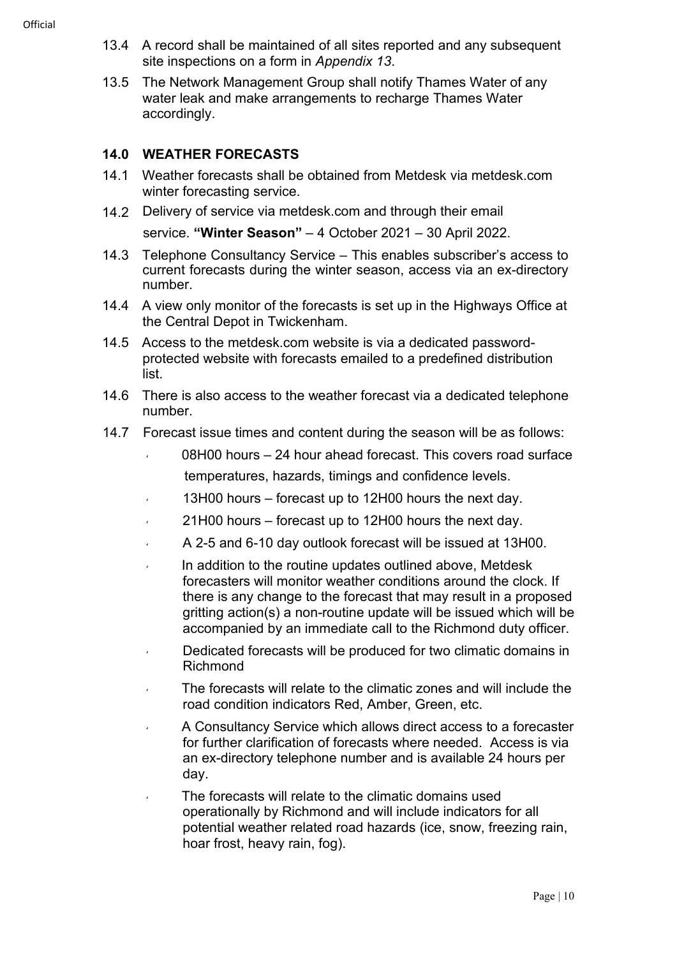13.5 The Network Management Group shall notify Thames Water of any water leak and make arrangements to recharge Thames Water accordingly.

## **14.0 WEATHER FORECASTS**

- 14.1 Weather forecasts shall be obtained from Metdesk via metdesk.com winter forecasting service.
- 14.2 Delivery of service via metdesk.com and through their email

service. **"Winter Season"** – 4 October 2021 – 30 April 2022.

- 14.3 Telephone Consultancy Service This enables subscriber's access to current forecasts during the winter season, access via an ex-directory number.
- 14.4 A view only monitor of the forecasts is set up in the Highways Office at the Central Depot in Twickenham.
- 14.5 Access to the metdesk.com website is via a dedicated passwordprotected website with forecasts emailed to a predefined distribution list.
- 14.6 There is also access to the weather forecast via a dedicated telephone number.
- 14.7 Forecast issue times and content during the season will be as follows:
	- 08H00 hours 24 hour ahead forecast. This covers road surface temperatures, hazards, timings and confidence levels.
	- 13H00 hours forecast up to 12H00 hours the next day.
	- 21H00 hours forecast up to 12H00 hours the next day.
	- A 2-5 and 6-10 day outlook forecast will be issued at 13H00.
	- In addition to the routine updates outlined above, Metdesk forecasters will monitor weather conditions around the clock. If there is any change to the forecast that may result in a proposed gritting action(s) a non-routine update will be issued which will be accompanied by an immediate call to the Richmond duty officer.
	- Dedicated forecasts will be produced for two climatic domains in Richmond
	- The forecasts will relate to the climatic zones and will include the road condition indicators Red, Amber, Green, etc.
	- A Consultancy Service which allows direct access to a forecaster for further clarification of forecasts where needed. Access is via an ex-directory telephone number and is available 24 hours per day.
	- The forecasts will relate to the climatic domains used operationally by Richmond and will include indicators for all potential weather related road hazards (ice, snow, freezing rain, hoar frost, heavy rain, fog).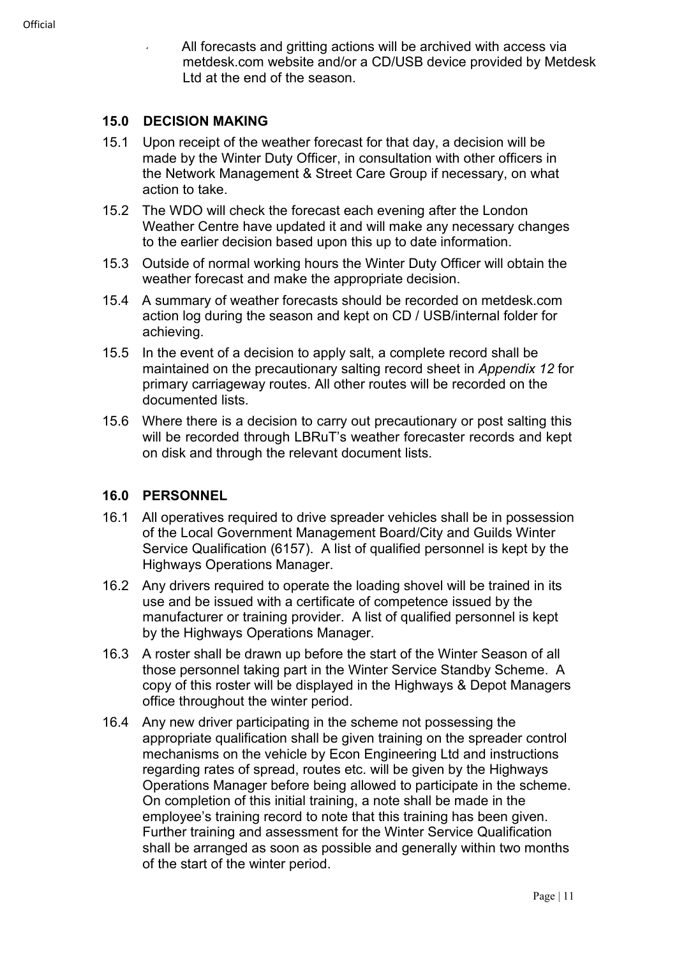All forecasts and gritting actions will be archived with access via metdesk.com website and/or a CD/USB device provided by Metdesk Ltd at the end of the season.

#### **15.0 DECISION MAKING**

- 15.1 Upon receipt of the weather forecast for that day, a decision will be made by the Winter Duty Officer, in consultation with other officers in the Network Management & Street Care Group if necessary, on what action to take.
- 15.2 The WDO will check the forecast each evening after the London Weather Centre have updated it and will make any necessary changes to the earlier decision based upon this up to date information.
- 15.3 Outside of normal working hours the Winter Duty Officer will obtain the weather forecast and make the appropriate decision.
- 15.4 A summary of weather forecasts should be recorded on metdesk.com action log during the season and kept on CD / USB/internal folder for achieving.
- 15.5 In the event of a decision to apply salt, a complete record shall be maintained on the precautionary salting record sheet in *Appendix 12* for primary carriageway routes. All other routes will be recorded on the documented lists.
- 15.6 Where there is a decision to carry out precautionary or post salting this will be recorded through LBRuT's weather forecaster records and kept on disk and through the relevant document lists.

#### **16.0 PERSONNEL**

- 16.1 All operatives required to drive spreader vehicles shall be in possession of the Local Government Management Board/City and Guilds Winter Service Qualification (6157). A list of qualified personnel is kept by the Highways Operations Manager.
- 16.2 Any drivers required to operate the loading shovel will be trained in its use and be issued with a certificate of competence issued by the manufacturer or training provider. A list of qualified personnel is kept by the Highways Operations Manager*.*
- 16.3 A roster shall be drawn up before the start of the Winter Season of all those personnel taking part in the Winter Service Standby Scheme. A copy of this roster will be displayed in the Highways & Depot Managers office throughout the winter period.
- 16.4 Any new driver participating in the scheme not possessing the appropriate qualification shall be given training on the spreader control mechanisms on the vehicle by Econ Engineering Ltd and instructions regarding rates of spread, routes etc. will be given by the Highways Operations Manager before being allowed to participate in the scheme. On completion of this initial training, a note shall be made in the employee's training record to note that this training has been given. Further training and assessment for the Winter Service Qualification shall be arranged as soon as possible and generally within two months of the start of the winter period.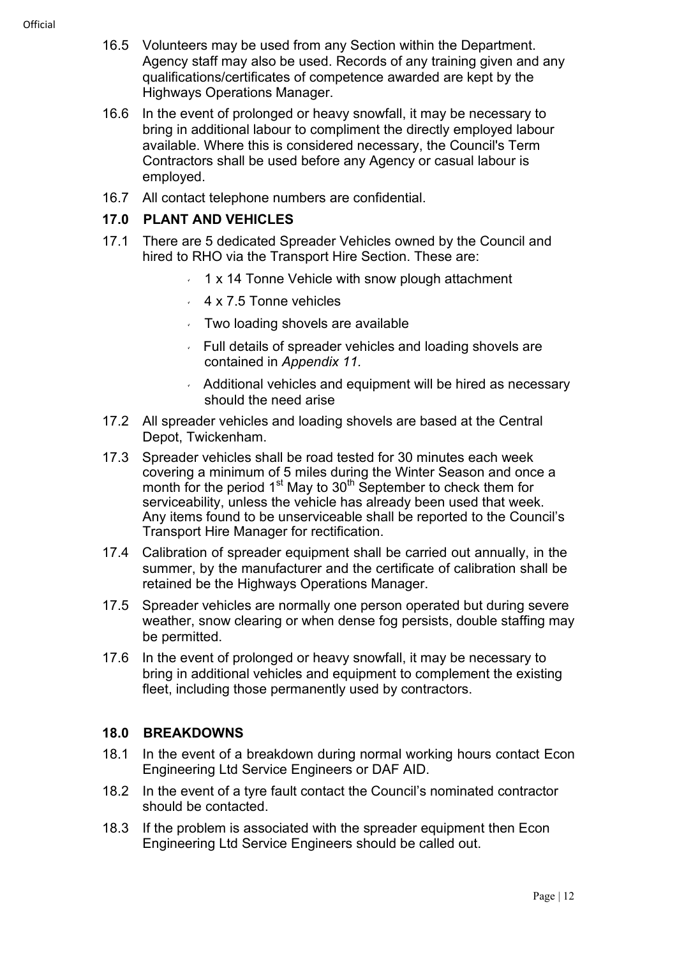**Official** 

- 16.5 Volunteers may be used from any Section within the Department. Agency staff may also be used. Records of any training given and any qualifications/certificates of competence awarded are kept by the Highways Operations Manager.
- 16.6 In the event of prolonged or heavy snowfall, it may be necessary to bring in additional labour to compliment the directly employed labour available. Where this is considered necessary, the Council's Term Contractors shall be used before any Agency or casual labour is employed.
- 16.7 All contact telephone numbers are confidential.

#### **17.0 PLANT AND VEHICLES**

- 17.1 There are 5 dedicated Spreader Vehicles owned by the Council and hired to RHO via the Transport Hire Section. These are:
	- $\cdot$  1 x 14 Tonne Vehicle with snow plough attachment
	- $4 \times 7.5$  Tonne vehicles
	- $\sqrt{ }$  Two loading shovels are available
	- Full details of spreader vehicles and loading shovels are contained in *Appendix 11.*
	- Additional vehicles and equipment will be hired as necessary should the need arise
- 17.2 All spreader vehicles and loading shovels are based at the Central Depot, Twickenham.
- 17.3 Spreader vehicles shall be road tested for 30 minutes each week covering a minimum of 5 miles during the Winter Season and once a month for the period 1<sup>st</sup> May to 30<sup>th</sup> September to check them for serviceability, unless the vehicle has already been used that week. Any items found to be unserviceable shall be reported to the Council's Transport Hire Manager for rectification.
- 17.4 Calibration of spreader equipment shall be carried out annually, in the summer, by the manufacturer and the certificate of calibration shall be retained be the Highways Operations Manager.
- 17.5 Spreader vehicles are normally one person operated but during severe weather, snow clearing or when dense fog persists, double staffing may be permitted.
- 17.6 In the event of prolonged or heavy snowfall, it may be necessary to bring in additional vehicles and equipment to complement the existing fleet, including those permanently used by contractors.

#### **18.0 BREAKDOWNS**

- 18.1 In the event of a breakdown during normal working hours contact Econ Engineering Ltd Service Engineers or DAF AID.
- 18.2 In the event of a tyre fault contact the Council's nominated contractor should be contacted.
- 18.3 If the problem is associated with the spreader equipment then Econ Engineering Ltd Service Engineers should be called out.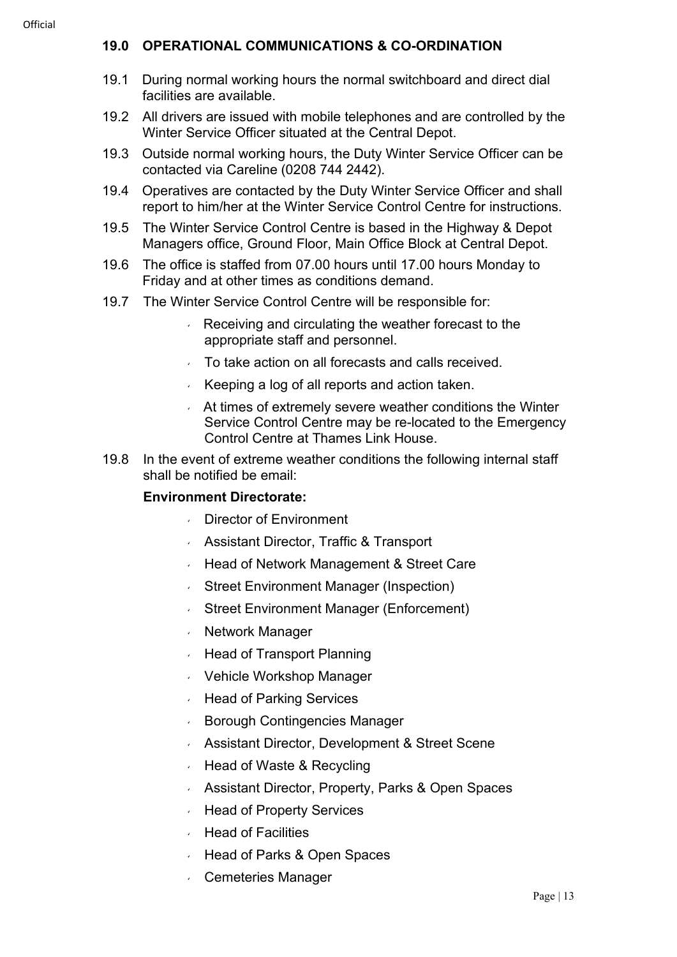#### **19.0 OPERATIONAL COMMUNICATIONS & CO-ORDINATION**

- 19.1 During normal working hours the normal switchboard and direct dial facilities are available.
- 19.2 All drivers are issued with mobile telephones and are controlled by the Winter Service Officer situated at the Central Depot.
- 19.3 Outside normal working hours, the Duty Winter Service Officer can be contacted via Careline (0208 744 2442).
- 19.4 Operatives are contacted by the Duty Winter Service Officer and shall report to him/her at the Winter Service Control Centre for instructions.
- 19.5 The Winter Service Control Centre is based in the Highway & Depot Managers office, Ground Floor, Main Office Block at Central Depot.
- 19.6 The office is staffed from 07.00 hours until 17.00 hours Monday to Friday and at other times as conditions demand.
- 19.7 The Winter Service Control Centre will be responsible for:
	- $\overline{R}$  Receiving and circulating the weather forecast to the appropriate staff and personnel.
	- To take action on all forecasts and calls received.
	- Keeping a log of all reports and action taken.
	- At times of extremely severe weather conditions the Winter Service Control Centre may be re-located to the Emergency Control Centre at Thames Link House.
- 19.8 In the event of extreme weather conditions the following internal staff shall be notified be email:

#### **Environment Directorate:**

- Director of Environment
- Assistant Director, Traffic & Transport
- Head of Network Management & Street Care
- Street Environment Manager (Inspection)
- Street Environment Manager (Enforcement)
- Network Manager
- Head of Transport Planning
- Vehicle Workshop Manager
- Head of Parking Services
- Borough Contingencies Manager
- Assistant Director, Development & Street Scene
- Head of Waste & Recycling
- Assistant Director, Property, Parks & Open Spaces
- Head of Property Services
- Head of Facilities
- Head of Parks & Open Spaces
- Cemeteries Manager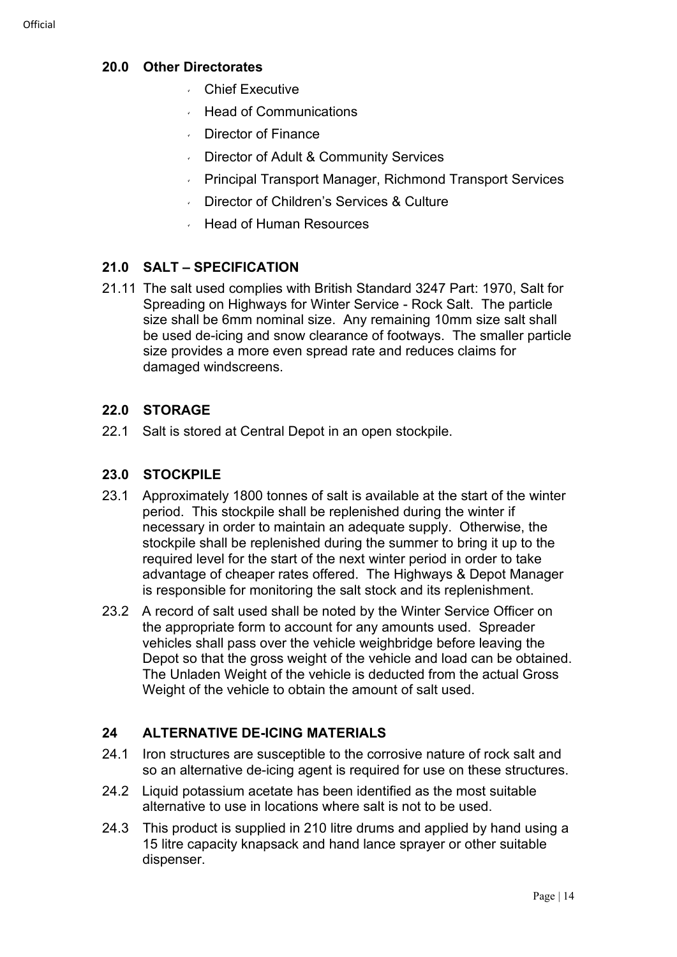#### **20.0 Other Directorates**

- Chief Executive
- Head of Communications
- Director of Finance
- Director of Adult & Community Services
- Principal Transport Manager, Richmond Transport Services
- Director of Children's Services & Culture
- Head of Human Resources

#### **21.0 SALT – SPECIFICATION**

21.11 The salt used complies with British Standard 3247 Part: 1970, Salt for Spreading on Highways for Winter Service - Rock Salt. The particle size shall be 6mm nominal size. Any remaining 10mm size salt shall be used de-icing and snow clearance of footways. The smaller particle size provides a more even spread rate and reduces claims for damaged windscreens.

#### **22.0 STORAGE**

22.1 Salt is stored at Central Depot in an open stockpile.

#### **23.0 STOCKPILE**

- 23.1 Approximately 1800 tonnes of salt is available at the start of the winter period. This stockpile shall be replenished during the winter if necessary in order to maintain an adequate supply. Otherwise, the stockpile shall be replenished during the summer to bring it up to the required level for the start of the next winter period in order to take advantage of cheaper rates offered. The Highways & Depot Manager is responsible for monitoring the salt stock and its replenishment.
- 23.2 A record of salt used shall be noted by the Winter Service Officer on the appropriate form to account for any amounts used. Spreader vehicles shall pass over the vehicle weighbridge before leaving the Depot so that the gross weight of the vehicle and load can be obtained. The Unladen Weight of the vehicle is deducted from the actual Gross Weight of the vehicle to obtain the amount of salt used.

#### **24 ALTERNATIVE DE-ICING MATERIALS**

- 24.1 Iron structures are susceptible to the corrosive nature of rock salt and so an alternative de-icing agent is required for use on these structures.
- 24.2 Liquid potassium acetate has been identified as the most suitable alternative to use in locations where salt is not to be used.
- 24.3 This product is supplied in 210 litre drums and applied by hand using a 15 litre capacity knapsack and hand lance sprayer or other suitable dispenser.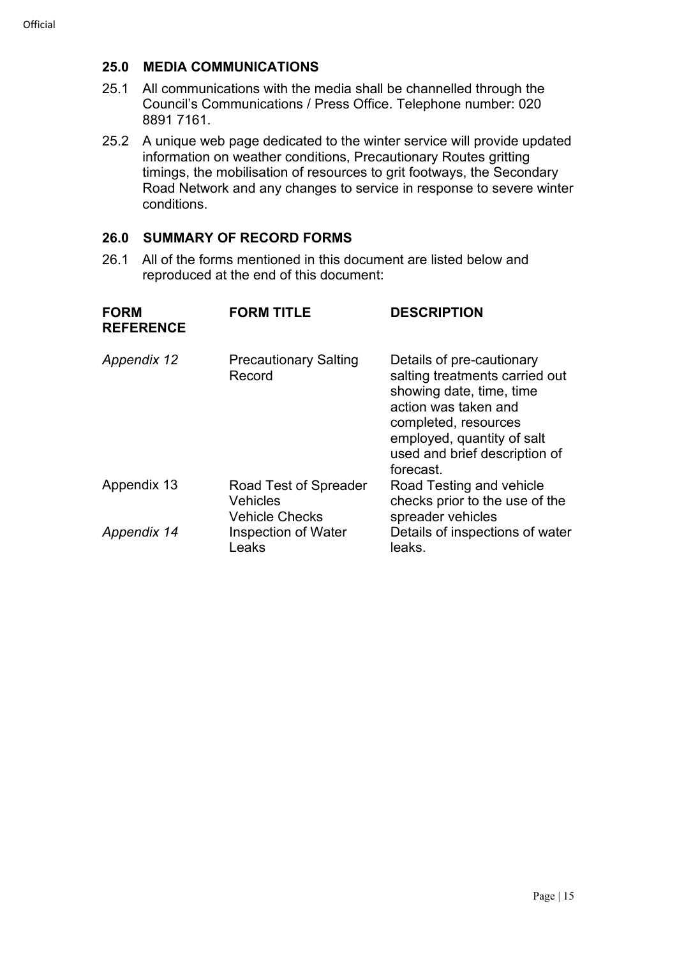#### **25.0 MEDIA COMMUNICATIONS**

- 25.1 All communications with the media shall be channelled through the Council's Communications / Press Office. Telephone number: 020 8891 7161.
- 25.2 A unique web page dedicated to the winter service will provide updated information on weather conditions, Precautionary Routes gritting timings, the mobilisation of resources to grit footways, the Secondary Road Network and any changes to service in response to severe winter conditions.

#### **26.0 SUMMARY OF RECORD FORMS**

26.1 All of the forms mentioned in this document are listed below and reproduced at the end of this document:

| <b>FORM</b><br><b>REFERENCE</b> | <b>FORM TITLE</b>                                                 | <b>DESCRIPTION</b>                                                                                                                                                                                                  |
|---------------------------------|-------------------------------------------------------------------|---------------------------------------------------------------------------------------------------------------------------------------------------------------------------------------------------------------------|
| Appendix 12                     | <b>Precautionary Salting</b><br>Record                            | Details of pre-cautionary<br>salting treatments carried out<br>showing date, time, time<br>action was taken and<br>completed, resources<br>employed, quantity of salt<br>used and brief description of<br>forecast. |
| Appendix 13                     | Road Test of Spreader<br><b>Vehicles</b><br><b>Vehicle Checks</b> | Road Testing and vehicle<br>checks prior to the use of the<br>spreader vehicles                                                                                                                                     |
| Appendix 14                     | Inspection of Water<br>Leaks                                      | Details of inspections of water<br>leaks.                                                                                                                                                                           |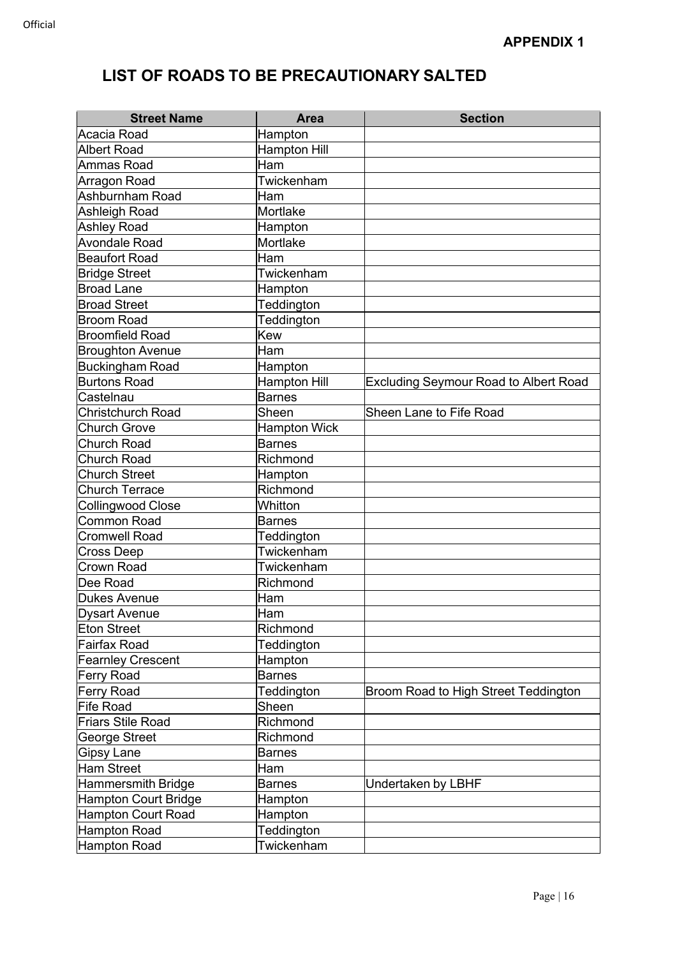| <b>Street Name</b>          | <b>Area</b>         | <b>Section</b>                               |
|-----------------------------|---------------------|----------------------------------------------|
| Acacia Road                 | Hampton             |                                              |
| <b>Albert Road</b>          | <b>Hampton Hill</b> |                                              |
| Ammas Road                  | Ham                 |                                              |
| Arragon Road                | Twickenham          |                                              |
| Ashburnham Road             | Ham                 |                                              |
| Ashleigh Road               | Mortlake            |                                              |
| <b>Ashley Road</b>          | Hampton             |                                              |
| <b>Avondale Road</b>        | Mortlake            |                                              |
| <b>Beaufort Road</b>        | Ham                 |                                              |
| <b>Bridge Street</b>        | Twickenham          |                                              |
| <b>Broad Lane</b>           | Hampton             |                                              |
| <b>Broad Street</b>         | Teddington          |                                              |
| <b>Broom Road</b>           | Teddington          |                                              |
| <b>Broomfield Road</b>      | <b>Kew</b>          |                                              |
| <b>Broughton Avenue</b>     | Ham                 |                                              |
| <b>Buckingham Road</b>      | Hampton             |                                              |
| <b>Burtons Road</b>         | <b>Hampton Hill</b> | <b>Excluding Seymour Road to Albert Road</b> |
| Castelnau                   | <b>Barnes</b>       |                                              |
| <b>Christchurch Road</b>    | Sheen               | Sheen Lane to Fife Road                      |
| <b>Church Grove</b>         | <b>Hampton Wick</b> |                                              |
| <b>Church Road</b>          | <b>Barnes</b>       |                                              |
| <b>Church Road</b>          | Richmond            |                                              |
| <b>Church Street</b>        | Hampton             |                                              |
| <b>Church Terrace</b>       | Richmond            |                                              |
| <b>Collingwood Close</b>    | Whitton             |                                              |
| Common Road                 | <b>Barnes</b>       |                                              |
| <b>Cromwell Road</b>        | Teddington          |                                              |
| <b>Cross Deep</b>           | Twickenham          |                                              |
| <b>Crown Road</b>           | Twickenham          |                                              |
| Dee Road                    | Richmond            |                                              |
| <b>Dukes Avenue</b>         | Ham                 |                                              |
| <b>Dysart Avenue</b>        | <b>Ham</b>          |                                              |
| <b>Eton Street</b>          | Richmond            |                                              |
| <b>Fairfax Road</b>         | Teddington          |                                              |
| <b>Fearnley Crescent</b>    | Hampton             |                                              |
| <b>Ferry Road</b>           | <b>Barnes</b>       |                                              |
| <b>Ferry Road</b>           | Teddington          | Broom Road to High Street Teddington         |
| <b>Fife Road</b>            | Sheen               |                                              |
| <b>Friars Stile Road</b>    | Richmond            |                                              |
| George Street               | Richmond            |                                              |
| <b>Gipsy Lane</b>           | <b>Barnes</b>       |                                              |
| <b>Ham Street</b>           | Ham                 |                                              |
| Hammersmith Bridge          | <b>Barnes</b>       | Undertaken by LBHF                           |
| <b>Hampton Court Bridge</b> | Hampton             |                                              |
| <b>Hampton Court Road</b>   | Hampton             |                                              |
| <b>Hampton Road</b>         | Teddington          |                                              |
| <b>Hampton Road</b>         | Twickenham          |                                              |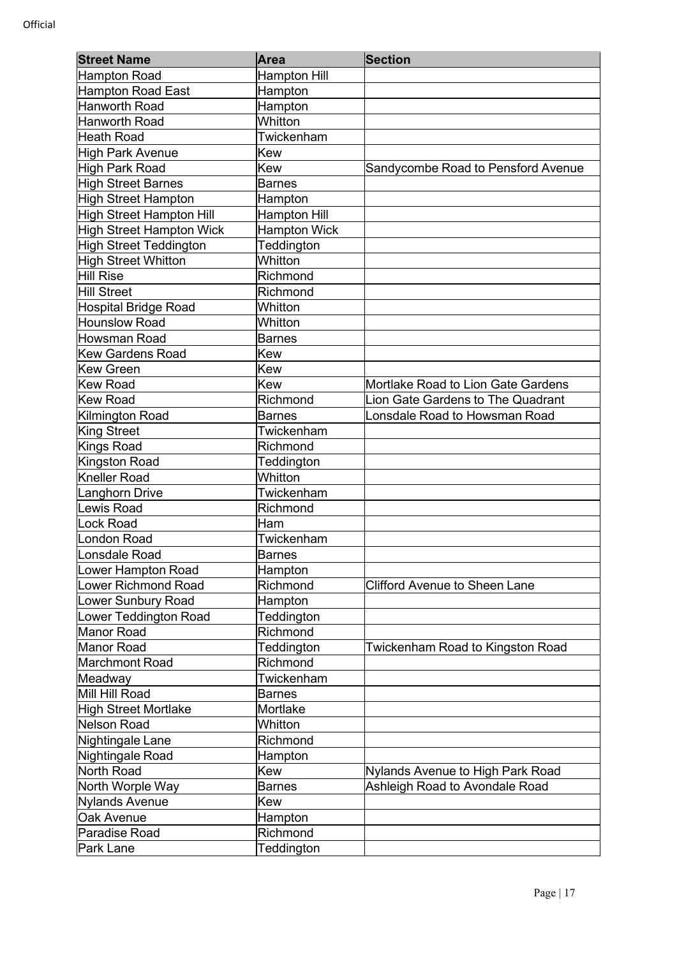| <b>Street Name</b>              | Area                | <b>Section</b>                       |
|---------------------------------|---------------------|--------------------------------------|
| <b>Hampton Road</b>             | <b>Hampton Hill</b> |                                      |
| <b>Hampton Road East</b>        | Hampton             |                                      |
| <b>Hanworth Road</b>            | Hampton             |                                      |
| <b>Hanworth Road</b>            | Whitton             |                                      |
| <b>Heath Road</b>               | Twickenham          |                                      |
| <b>High Park Avenue</b>         | Kew                 |                                      |
| <b>High Park Road</b>           | Kew                 | Sandycombe Road to Pensford Avenue   |
| <b>High Street Barnes</b>       | <b>Barnes</b>       |                                      |
| <b>High Street Hampton</b>      | Hampton             |                                      |
| <b>High Street Hampton Hill</b> | <b>Hampton Hill</b> |                                      |
| <b>High Street Hampton Wick</b> | <b>Hampton Wick</b> |                                      |
| <b>High Street Teddington</b>   | Teddington          |                                      |
| <b>High Street Whitton</b>      | Whitton             |                                      |
| Hill Rise                       | Richmond            |                                      |
| <b>Hill Street</b>              | Richmond            |                                      |
| Hospital Bridge Road            | Whitton             |                                      |
| <b>Hounslow Road</b>            | Whitton             |                                      |
| Howsman Road                    | <b>Barnes</b>       |                                      |
| <b>Kew Gardens Road</b>         | Kew                 |                                      |
| <b>Kew Green</b>                | Kew                 |                                      |
| <b>Kew Road</b>                 | Kew                 | Mortlake Road to Lion Gate Gardens   |
| <b>Kew Road</b>                 | Richmond            | Lion Gate Gardens to The Quadrant    |
| Kilmington Road                 | <b>Barnes</b>       | Lonsdale Road to Howsman Road        |
| <b>King Street</b>              | Twickenham          |                                      |
| <b>Kings Road</b>               | Richmond            |                                      |
| Kingston Road                   | Teddington          |                                      |
| <b>Kneller Road</b>             | Whitton             |                                      |
| Langhorn Drive                  | Twickenham          |                                      |
| <b>Lewis Road</b>               | Richmond            |                                      |
| <b>Lock Road</b>                | Ham                 |                                      |
| London Road                     | Twickenham          |                                      |
| Lonsdale Road                   | <b>Barnes</b>       |                                      |
| Lower Hampton Road              | Hampton             |                                      |
| <b>Lower Richmond Road</b>      | Richmond            | <b>Clifford Avenue to Sheen Lane</b> |
| <b>Lower Sunbury Road</b>       | Hampton             |                                      |
| Lower Teddington Road           | Teddington          |                                      |
| <b>Manor Road</b>               | Richmond            |                                      |
| <b>Manor Road</b>               | Teddington          | Twickenham Road to Kingston Road     |
| <b>Marchmont Road</b>           | Richmond            |                                      |
| Meadway                         | Twickenham          |                                      |
| Mill Hill Road                  | <b>Barnes</b>       |                                      |
| <b>High Street Mortlake</b>     | Mortlake            |                                      |
| <b>Nelson Road</b>              | Whitton             |                                      |
| Nightingale Lane                | Richmond            |                                      |
| Nightingale Road                | Hampton             |                                      |
| North Road                      | Kew                 | Nylands Avenue to High Park Road     |
| North Worple Way                | <b>Barnes</b>       | Ashleigh Road to Avondale Road       |
| <b>Nylands Avenue</b>           | Kew                 |                                      |
| Oak Avenue                      | Hampton             |                                      |
| Paradise Road                   | Richmond            |                                      |
| Park Lane                       | Teddington          |                                      |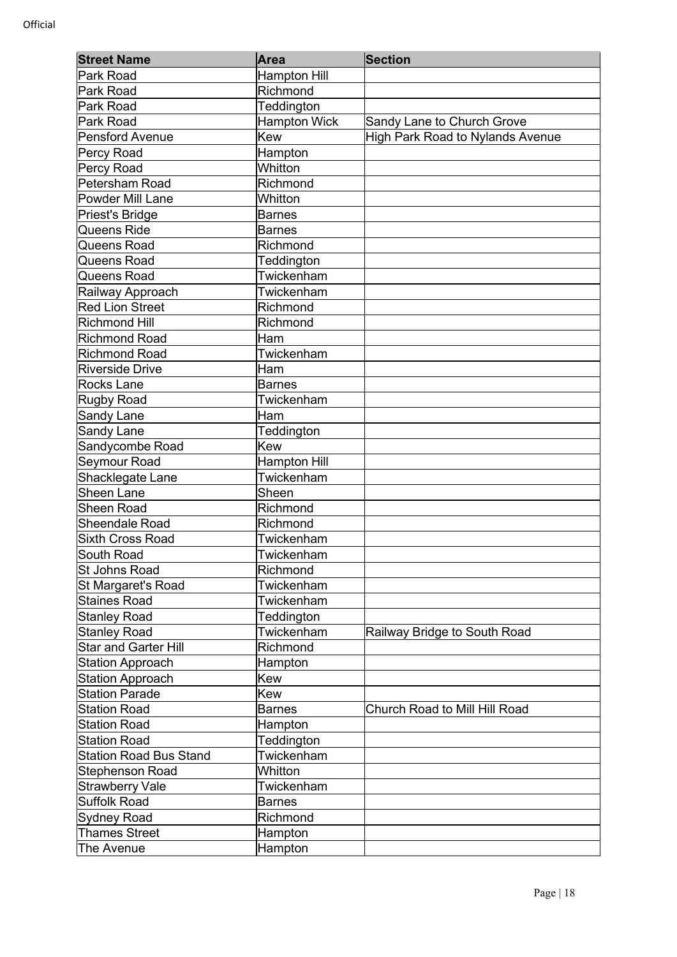| <b>Street Name</b>            | Area                | <b>Section</b>                          |
|-------------------------------|---------------------|-----------------------------------------|
| Park Road                     | <b>Hampton Hill</b> |                                         |
| Park Road                     | Richmond            |                                         |
| Park Road                     | Teddington          |                                         |
| Park Road                     | <b>Hampton Wick</b> | Sandy Lane to Church Grove              |
| <b>Pensford Avenue</b>        | <b>Kew</b>          | <b>High Park Road to Nylands Avenue</b> |
| Percy Road                    | Hampton             |                                         |
| Percy Road                    | Whitton             |                                         |
| Petersham Road                | Richmond            |                                         |
| <b>Powder Mill Lane</b>       | Whitton             |                                         |
| Priest's Bridge               | <b>Barnes</b>       |                                         |
| Queens Ride                   | <b>Barnes</b>       |                                         |
| Queens Road                   | Richmond            |                                         |
| Queens Road                   | Teddington          |                                         |
| Queens Road                   | Twickenham          |                                         |
| Railway Approach              | Twickenham          |                                         |
| <b>Red Lion Street</b>        | Richmond            |                                         |
| <b>Richmond Hill</b>          | Richmond            |                                         |
| <b>Richmond Road</b>          | Ham                 |                                         |
| <b>Richmond Road</b>          | Twickenham          |                                         |
| <b>Riverside Drive</b>        | Ham                 |                                         |
| <b>Rocks Lane</b>             | <b>Barnes</b>       |                                         |
| <b>Rugby Road</b>             | Twickenham          |                                         |
| Sandy Lane                    | Ham                 |                                         |
| Sandy Lane                    | Teddington          |                                         |
| Sandycombe Road               | <b>Kew</b>          |                                         |
| Seymour Road                  | <b>Hampton Hill</b> |                                         |
| Shacklegate Lane              | Twickenham          |                                         |
| <b>Sheen Lane</b>             | Sheen               |                                         |
| <b>Sheen Road</b>             | Richmond            |                                         |
| Sheendale Road                | Richmond            |                                         |
| <b>Sixth Cross Road</b>       | Twickenham          |                                         |
| South Road                    | Twickenham          |                                         |
| <b>St Johns Road</b>          | Richmond            |                                         |
| St Margaret's Road            | Twickenham          |                                         |
| <b>Staines Road</b>           | Twickenham          |                                         |
| <b>Stanley Road</b>           | Teddington          |                                         |
| <b>Stanley Road</b>           | Twickenham          | Railway Bridge to South Road            |
| Star and Garter Hill          | Richmond            |                                         |
| <b>Station Approach</b>       | Hampton             |                                         |
| <b>Station Approach</b>       | Kew                 |                                         |
| <b>Station Parade</b>         | <b>Kew</b>          |                                         |
| <b>Station Road</b>           | <b>Barnes</b>       | Church Road to Mill Hill Road           |
| <b>Station Road</b>           | Hampton             |                                         |
| <b>Station Road</b>           | Teddington          |                                         |
| <b>Station Road Bus Stand</b> | Twickenham          |                                         |
| Stephenson Road               | Whitton             |                                         |
| <b>Strawberry Vale</b>        | Twickenham          |                                         |
| <b>Suffolk Road</b>           | <b>Barnes</b>       |                                         |
| <b>Sydney Road</b>            | Richmond            |                                         |
| <b>Thames Street</b>          | Hampton             |                                         |
| The Avenue                    | Hampton             |                                         |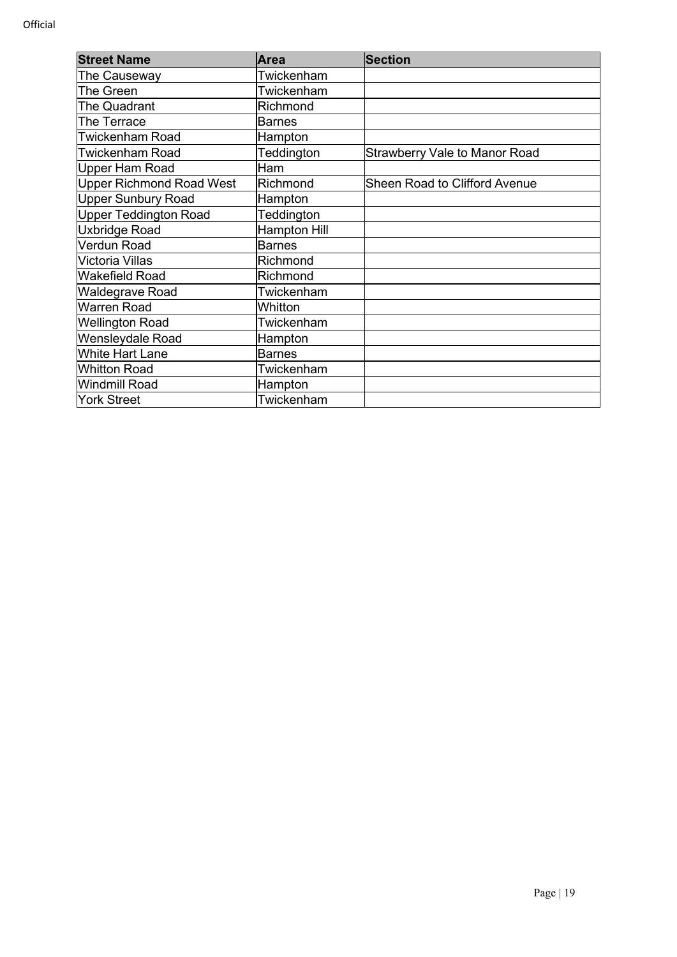| <b>Street Name</b>              | <b>Area</b>         | <b>Section</b>                       |
|---------------------------------|---------------------|--------------------------------------|
| The Causeway                    | Twickenham          |                                      |
| The Green                       | Twickenham          |                                      |
| <b>The Quadrant</b>             | Richmond            |                                      |
| The Terrace                     | <b>Barnes</b>       |                                      |
| <b>Twickenham Road</b>          | Hampton             |                                      |
| <b>Twickenham Road</b>          | Teddington          | <b>Strawberry Vale to Manor Road</b> |
| Upper Ham Road                  | Ham                 |                                      |
| <b>Upper Richmond Road West</b> | Richmond            | <b>Sheen Road to Clifford Avenue</b> |
| <b>Upper Sunbury Road</b>       | Hampton             |                                      |
| Upper Teddington Road           | Teddington          |                                      |
| Uxbridge Road                   | <b>Hampton Hill</b> |                                      |
| Verdun Road                     | <b>Barnes</b>       |                                      |
| Victoria Villas                 | Richmond            |                                      |
| Wakefield Road                  | Richmond            |                                      |
| <b>Waldegrave Road</b>          | Twickenham          |                                      |
| Warren Road                     | Whitton             |                                      |
| <b>Wellington Road</b>          | Twickenham          |                                      |
| Wensleydale Road                | Hampton             |                                      |
| White Hart Lane                 | <b>Barnes</b>       |                                      |
| <b>Whitton Road</b>             | Twickenham          |                                      |
| Windmill Road                   | Hampton             |                                      |
| <b>York Street</b>              | Twickenham          |                                      |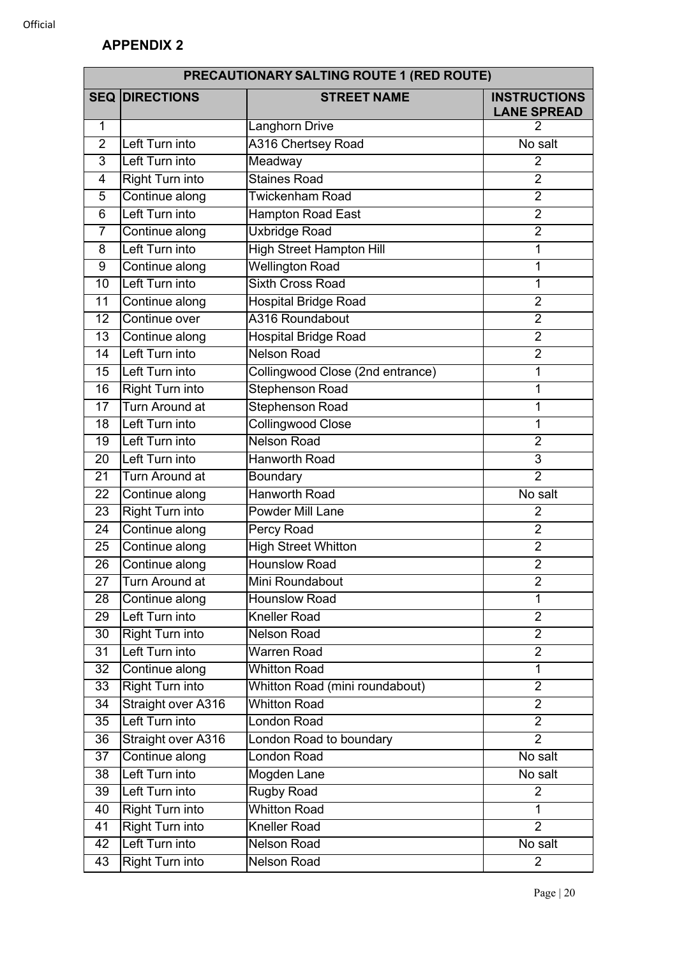|                 | PRECAUTIONARY SALTING ROUTE 1 (RED ROUTE) |                                  |                                           |  |
|-----------------|-------------------------------------------|----------------------------------|-------------------------------------------|--|
| <b>SEQ</b>      | <b>DIRECTIONS</b>                         | <b>STREET NAME</b>               | <b>INSTRUCTIONS</b><br><b>LANE SPREAD</b> |  |
| 1               |                                           | Langhorn Drive                   | 2                                         |  |
| $\overline{2}$  | Left Turn into                            | <b>A316 Chertsey Road</b>        | No salt                                   |  |
| 3               | Left Turn into                            | Meadway                          | 2                                         |  |
| $\overline{4}$  | <b>Right Turn into</b>                    | <b>Staines Road</b>              | $\overline{2}$                            |  |
| 5               | Continue along                            | <b>Twickenham Road</b>           | $\overline{2}$                            |  |
| 6               | Left Turn into                            | Hampton Road East                | $\overline{2}$                            |  |
| $\overline{7}$  | Continue along                            | <b>Uxbridge Road</b>             | $\overline{2}$                            |  |
| 8               | Left Turn into                            | <b>High Street Hampton Hill</b>  | $\mathbf 1$                               |  |
| 9               | Continue along                            | <b>Wellington Road</b>           | 1                                         |  |
| 10              | Left Turn into                            | <b>Sixth Cross Road</b>          | 1                                         |  |
| 11              | Continue along                            | <b>Hospital Bridge Road</b>      | $\overline{2}$                            |  |
| 12              | Continue over                             | A316 Roundabout                  | $\overline{2}$                            |  |
| 13              | Continue along                            | <b>Hospital Bridge Road</b>      | $\overline{2}$                            |  |
| 14              | Left Turn into                            | <b>Nelson Road</b>               | $\overline{2}$                            |  |
| 15              | Left Turn into                            | Collingwood Close (2nd entrance) | $\mathbf 1$                               |  |
| 16              | <b>Right Turn into</b>                    | <b>Stephenson Road</b>           | 1                                         |  |
| 17              | Turn Around at                            | <b>Stephenson Road</b>           | $\mathbf{1}$                              |  |
| 18              | Left Turn into                            | <b>Collingwood Close</b>         | 1                                         |  |
| 19              | Left Turn into                            | <b>Nelson Road</b>               | $\overline{2}$                            |  |
| 20              | Left Turn into                            | <b>Hanworth Road</b>             | 3                                         |  |
| 21              | Turn Around at                            | Boundary                         | $\overline{2}$                            |  |
| 22              | Continue along                            | <b>Hanworth Road</b>             | No salt                                   |  |
| 23              | <b>Right Turn into</b>                    | Powder Mill Lane                 | $\overline{2}$                            |  |
| 24              | Continue along                            | <b>Percy Road</b>                | $\overline{2}$                            |  |
| 25              | Continue along                            | <b>High Street Whitton</b>       | $\overline{2}$                            |  |
| 26              | Continue along                            | <b>Hounslow Road</b>             | $\overline{2}$                            |  |
| $\overline{27}$ | Turn Around at                            | Mini Roundabout                  | $\overline{2}$                            |  |
| 28              | Continue along                            | <b>Hounslow Road</b>             | 1                                         |  |
| 29              | Left Turn into                            | <b>Kneller Road</b>              | $\overline{2}$                            |  |
| 30              | <b>Right Turn into</b>                    | <b>Nelson Road</b>               | $\overline{2}$                            |  |
| 31              | Left Turn into                            | Warren Road                      | $\overline{2}$                            |  |
| 32              | Continue along                            | <b>Whitton Road</b>              | $\mathbf{1}$                              |  |
| 33              | <b>Right Turn into</b>                    | Whitton Road (mini roundabout)   | $\overline{2}$                            |  |
| 34              | Straight over A316                        | <b>Whitton Road</b>              | $\overline{2}$                            |  |
| 35              | Left Turn into                            | <b>London Road</b>               | $\overline{2}$                            |  |
| 36              | Straight over A316                        | London Road to boundary          | $\overline{2}$                            |  |
| 37              | Continue along                            | <b>London Road</b>               | No salt                                   |  |
| 38              | Left Turn into                            | Mogden Lane                      | No salt                                   |  |
| 39              | Left Turn into                            | <b>Rugby Road</b>                | $\overline{2}$                            |  |
| 40              | <b>Right Turn into</b>                    | <b>Whitton Road</b>              | 1                                         |  |
| 41              | <b>Right Turn into</b>                    | <b>Kneller Road</b>              | $\overline{2}$                            |  |
| 42              | Left Turn into                            | <b>Nelson Road</b>               | No salt                                   |  |
| 43              | <b>Right Turn into</b>                    | Nelson Road                      | $\overline{2}$                            |  |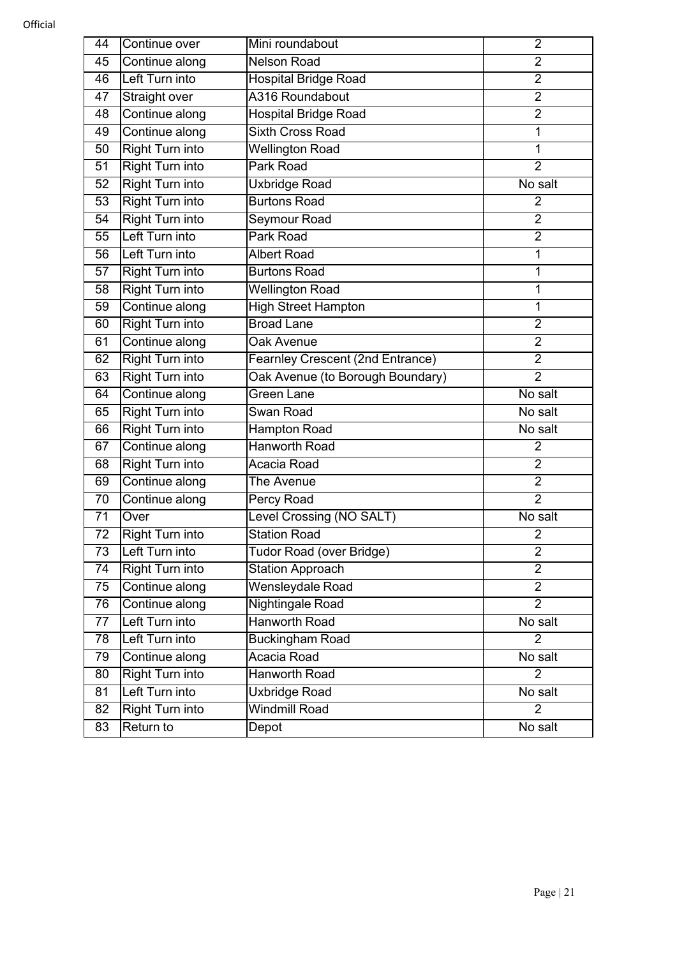| 44              | Continue over          | Mini roundabout                  | $\overline{2}$ |
|-----------------|------------------------|----------------------------------|----------------|
| 45              | Continue along         | <b>Nelson Road</b>               | $\overline{2}$ |
| 46              | Left Turn into         | <b>Hospital Bridge Road</b>      | $\overline{2}$ |
| 47              | <b>Straight over</b>   | A316 Roundabout                  | $\overline{2}$ |
| 48              | Continue along         | <b>Hospital Bridge Road</b>      | $\overline{2}$ |
| 49              | Continue along         | <b>Sixth Cross Road</b>          | 1              |
| 50              | <b>Right Turn into</b> | <b>Wellington Road</b>           | 1              |
| 51              | <b>Right Turn into</b> | Park Road                        | $\overline{2}$ |
| 52              | <b>Right Turn into</b> | Uxbridge Road                    | No salt        |
| 53              | <b>Right Turn into</b> | <b>Burtons Road</b>              | $\overline{2}$ |
| 54              | <b>Right Turn into</b> | Seymour Road                     | $\overline{2}$ |
| 55              | Left Turn into         | Park Road                        | $\overline{2}$ |
| 56              | Left Turn into         | <b>Albert Road</b>               | 1              |
| 57              | <b>Right Turn into</b> | <b>Burtons Road</b>              | 1              |
| $\overline{58}$ | <b>Right Turn into</b> | <b>Wellington Road</b>           | 1              |
| 59              | Continue along         | <b>High Street Hampton</b>       | 1              |
| 60              | <b>Right Turn into</b> | <b>Broad Lane</b>                | $\overline{2}$ |
| 61              | Continue along         | Oak Avenue                       | $\overline{2}$ |
| 62              | <b>Right Turn into</b> | Fearnley Crescent (2nd Entrance) | $\overline{2}$ |
| 63              | <b>Right Turn into</b> | Oak Avenue (to Borough Boundary) | $\overline{2}$ |
| 64              | Continue along         | Green Lane                       | No salt        |
| 65              | <b>Right Turn into</b> | Swan Road                        | No salt        |
| 66              | <b>Right Turn into</b> | <b>Hampton Road</b>              | No salt        |
| 67              | Continue along         | <b>Hanworth Road</b>             | $\overline{2}$ |
| 68              | <b>Right Turn into</b> | Acacia Road                      | $\overline{2}$ |
| 69              | Continue along         | The Avenue                       | $\overline{2}$ |
| 70              | Continue along         | <b>Percy Road</b>                | $\overline{2}$ |
| 71              | Over                   | Level Crossing (NO SALT)         | No salt        |
| $\overline{72}$ | <b>Right Turn into</b> | <b>Station Road</b>              | $\overline{2}$ |
| 73              | Left Turn into         | Tudor Road (over Bridge)         | $\overline{2}$ |
| $\overline{74}$ | <b>Right Turn into</b> | <b>Station Approach</b>          | $\overline{2}$ |
| 75              | Continue along         | Wensleydale Road                 | $\overline{2}$ |
| 76              | Continue along         | Nightingale Road                 | $\overline{2}$ |
| 77              | Left Turn into         | <b>Hanworth Road</b>             | No salt        |
| 78              | Left Turn into         | <b>Buckingham Road</b>           | $\overline{2}$ |
| 79              | Continue along         | Acacia Road                      | No salt        |
| 80              | <b>Right Turn into</b> | <b>Hanworth Road</b>             | 2              |
| 81              | Left Turn into         | <b>Uxbridge Road</b>             | No salt        |
| 82              | <b>Right Turn into</b> | <b>Windmill Road</b>             | $\overline{2}$ |
| 83              | Return to              | Depot                            | No salt        |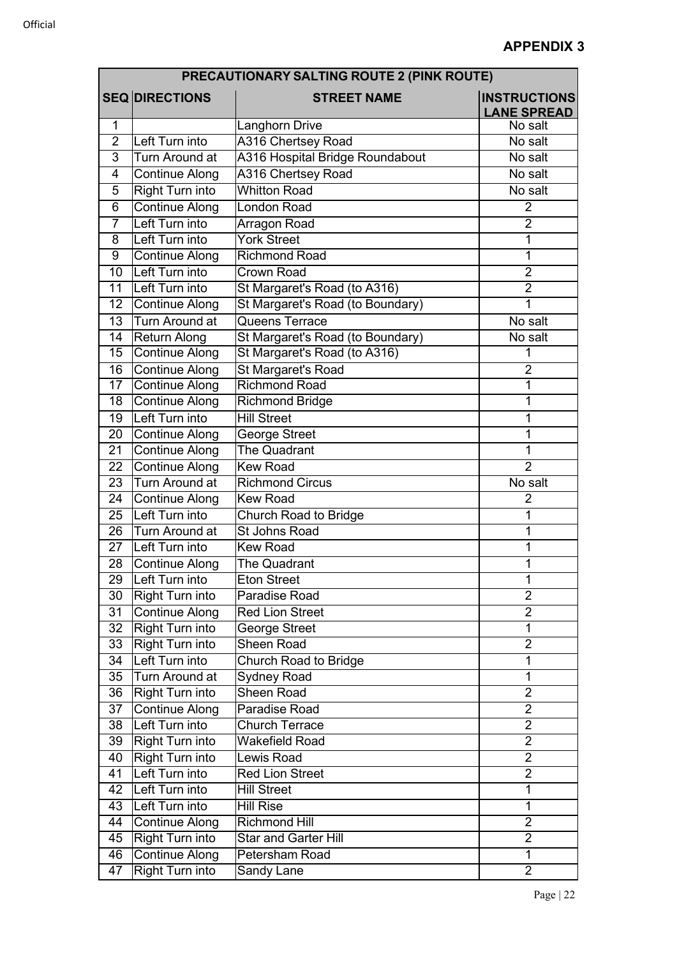|                 | PRECAUTIONARY SALTING ROUTE 2 (PINK ROUTE) |                                  |                                           |  |
|-----------------|--------------------------------------------|----------------------------------|-------------------------------------------|--|
|                 | <b>SEQ DIRECTIONS</b>                      | <b>STREET NAME</b>               | <b>INSTRUCTIONS</b><br><b>LANE SPREAD</b> |  |
| 1               |                                            | Langhorn Drive                   | No salt                                   |  |
| $\overline{2}$  | Left Turn into                             | A316 Chertsey Road               | No salt                                   |  |
| 3               | Turn Around at                             | A316 Hospital Bridge Roundabout  | No salt                                   |  |
| 4               | Continue Along                             | <b>A316 Chertsey Road</b>        | No salt                                   |  |
| 5               | <b>Right Turn into</b>                     | <b>Whitton Road</b>              | No salt                                   |  |
| 6               | <b>Continue Along</b>                      | <b>London Road</b>               | $\overline{2}$                            |  |
| $\overline{7}$  | Left Turn into                             | Arragon Road                     | $\overline{2}$                            |  |
| 8               | Left Turn into                             | <b>York Street</b>               | 1                                         |  |
| 9               | <b>Continue Along</b>                      | <b>Richmond Road</b>             | 1                                         |  |
| $\overline{10}$ | Left Turn into                             | <b>Crown Road</b>                | $\overline{2}$                            |  |
| 11              | Left Turn into                             | St Margaret's Road (to A316)     | $\overline{2}$                            |  |
| 12              | <b>Continue Along</b>                      | St Margaret's Road (to Boundary) | 1                                         |  |
| $\overline{13}$ | Turn Around at                             | Queens Terrace                   | No salt                                   |  |
| 14              | <b>Return Along</b>                        | St Margaret's Road (to Boundary) | No salt                                   |  |
| 15              | <b>Continue Along</b>                      | St Margaret's Road (to A316)     | 1                                         |  |
| 16              | <b>Continue Along</b>                      | St Margaret's Road               | $\overline{2}$                            |  |
| 17              | <b>Continue Along</b>                      | <b>Richmond Road</b>             | 1                                         |  |
| 18              | <b>Continue Along</b>                      | <b>Richmond Bridge</b>           | 1                                         |  |
| 19              | Left Turn into                             | <b>Hill Street</b>               | 1                                         |  |
| 20              | <b>Continue Along</b>                      | George Street                    | 1                                         |  |
| 21              | <b>Continue Along</b>                      | The Quadrant                     | 1                                         |  |
| 22              | <b>Continue Along</b>                      | <b>Kew Road</b>                  | $\overline{2}$                            |  |
| 23              | Turn Around at                             | <b>Richmond Circus</b>           | No salt                                   |  |
| 24              | <b>Continue Along</b>                      | <b>Kew Road</b>                  | $\overline{2}$                            |  |
| 25              | Left Turn into                             | <b>Church Road to Bridge</b>     | 1                                         |  |
| 26              | Turn Around at                             | <b>St Johns Road</b>             | 1                                         |  |
| $\overline{27}$ | Left Turn into                             | <b>Kew Road</b>                  | 1                                         |  |
| 28              | <b>Continue Along</b>                      | The Quadrant                     | 1                                         |  |
| 29              | Left Turn into                             | <b>Eton Street</b>               | 1                                         |  |
| 30              | <b>Right Turn into</b>                     | Paradise Road                    | $\overline{2}$                            |  |
| 31              | <b>Continue Along</b>                      | <b>Red Lion Street</b>           | $\overline{2}$                            |  |
| 32              | <b>Right Turn into</b>                     | George Street                    | 1                                         |  |
| 33              | <b>Right Turn into</b>                     | Sheen Road                       | $\overline{2}$                            |  |
| 34              | Left Turn into                             | <b>Church Road to Bridge</b>     | 1                                         |  |
| 35              | Turn Around at                             | <b>Sydney Road</b>               | 1                                         |  |
| 36              | <b>Right Turn into</b>                     | Sheen Road                       | $\overline{2}$                            |  |
| 37              | Continue Along                             | Paradise Road                    | $\overline{2}$                            |  |
| 38              | Left Turn into                             | <b>Church Terrace</b>            | $\overline{2}$                            |  |
| 39              | <b>Right Turn into</b>                     | Wakefield Road                   | $\overline{2}$                            |  |
| 40              | <b>Right Turn into</b>                     | Lewis Road                       | $\overline{2}$                            |  |
| 41              | Left Turn into                             | <b>Red Lion Street</b>           | $\overline{2}$                            |  |
| 42              | Left Turn into                             | Hill Street                      | 1                                         |  |
| 43              | Left Turn into                             | <b>Hill Rise</b>                 | $\mathbf{1}$                              |  |
| 44              | <b>Continue Along</b>                      | <b>Richmond Hill</b>             | $\overline{2}$                            |  |
| 45              | Right Turn into                            | Star and Garter Hill             | $\overline{2}$                            |  |
| 46              | <b>Continue Along</b>                      | Petersham Road                   | $\mathbf 1$                               |  |
| 47              | <b>Right Turn into</b>                     | Sandy Lane                       | $\overline{2}$                            |  |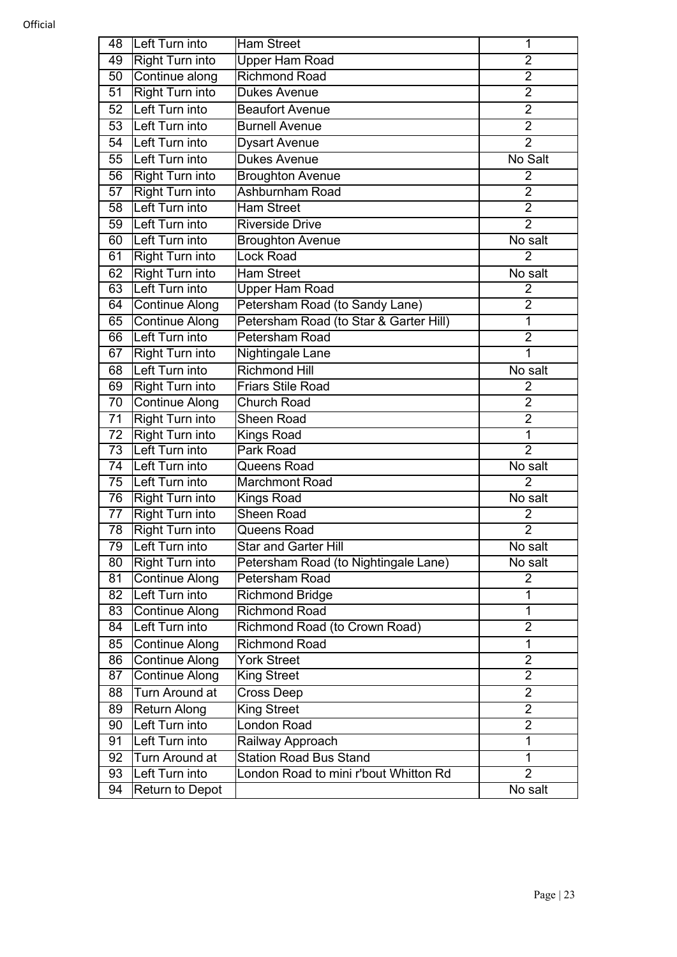| 48 | Left Turn into         | <b>Ham Street</b>                      | 1                                |
|----|------------------------|----------------------------------------|----------------------------------|
| 49 | <b>Right Turn into</b> | Upper Ham Road                         | $\overline{2}$                   |
| 50 | Continue along         | <b>Richmond Road</b>                   | $\overline{2}$                   |
| 51 | <b>Right Turn into</b> | <b>Dukes Avenue</b>                    | $\overline{2}$                   |
| 52 | Left Turn into         | <b>Beaufort Avenue</b>                 | $\overline{2}$                   |
| 53 | Left Turn into         | <b>Burnell Avenue</b>                  | $\overline{2}$                   |
| 54 | Left Turn into         | <b>Dysart Avenue</b>                   | $\overline{2}$                   |
| 55 | Left Turn into         | <b>Dukes Avenue</b>                    | No Salt                          |
| 56 | <b>Right Turn into</b> | <b>Broughton Avenue</b>                | $\overline{2}$                   |
| 57 | <b>Right Turn into</b> | Ashburnham Road                        | $\overline{2}$                   |
| 58 | Left Turn into         | <b>Ham Street</b>                      | $\overline{2}$                   |
| 59 | Left Turn into         | <b>Riverside Drive</b>                 | $\overline{2}$                   |
| 60 | Left Turn into         | <b>Broughton Avenue</b>                | No salt                          |
| 61 | <b>Right Turn into</b> | Lock Road                              | $\overline{2}$                   |
| 62 | <b>Right Turn into</b> | <b>Ham Street</b>                      | No salt                          |
| 63 | Left Turn into         | Upper Ham Road                         | 2                                |
| 64 | <b>Continue Along</b>  | Petersham Road (to Sandy Lane)         | $\overline{2}$                   |
| 65 | Continue Along         | Petersham Road (to Star & Garter Hill) | $\overline{1}$                   |
| 66 | Left Turn into         | Petersham Road                         | $\overline{2}$                   |
| 67 | <b>Right Turn into</b> | Nightingale Lane                       | $\overline{1}$                   |
| 68 | Left Turn into         | <b>Richmond Hill</b>                   | No salt                          |
| 69 | <b>Right Turn into</b> | <b>Friars Stile Road</b>               | $\overline{2}$                   |
| 70 | <b>Continue Along</b>  | Church Road                            | $\overline{2}$                   |
| 71 | <b>Right Turn into</b> | <b>Sheen Road</b>                      | $\overline{2}$                   |
| 72 | <b>Right Turn into</b> | <b>Kings Road</b>                      | $\overline{1}$                   |
| 73 | Left Turn into         | Park Road                              | $\overline{2}$                   |
| 74 | Left Turn into         | Queens Road                            | No salt                          |
| 75 | Left Turn into         | <b>Marchmont Road</b>                  | $\overline{2}$                   |
| 76 | Right Turn into        | <b>Kings Road</b>                      | No salt                          |
| 77 | <b>Right Turn into</b> | <b>Sheen Road</b>                      | $\overline{2}$                   |
| 78 | <b>Right Turn into</b> | Queens Road                            | $\overline{2}$                   |
| 79 | Left Turn into         | <b>Star and Garter Hill</b>            | No salt                          |
| 80 | <b>Right Turn into</b> | Petersham Road (to Nightingale Lane)   | No salt                          |
| 81 | <b>Continue Along</b>  | <b>Petersham Road</b>                  | $\overline{2}$                   |
| 82 | Left Turn into         | Richmond Bridge                        | 1                                |
| 83 | <b>Continue Along</b>  | <b>Richmond Road</b>                   | 1                                |
| 84 | Left Turn into         | Richmond Road (to Crown Road)          | $\overline{2}$                   |
| 85 | Continue Along         | <b>Richmond Road</b>                   | 1                                |
| 86 | <b>Continue Along</b>  | <b>York Street</b>                     | $\overline{2}$<br>$\overline{2}$ |
| 87 | <b>Continue Along</b>  | King Street                            |                                  |
| 88 | <b>Turn Around at</b>  | Cross Deep                             | $\overline{2}$<br>$\overline{2}$ |
| 89 | <b>Return Along</b>    | <b>King Street</b>                     |                                  |
| 90 | Left Turn into         | London Road                            | $\overline{2}$<br>$\overline{1}$ |
| 91 | Left Turn into         | Railway Approach                       |                                  |
| 92 | Turn Around at         | <b>Station Road Bus Stand</b>          | $\mathbf{1}$                     |
| 93 | Left Turn into         | London Road to mini r'bout Whitton Rd  | $\overline{2}$                   |
| 94 | <b>Return to Depot</b> |                                        | No salt                          |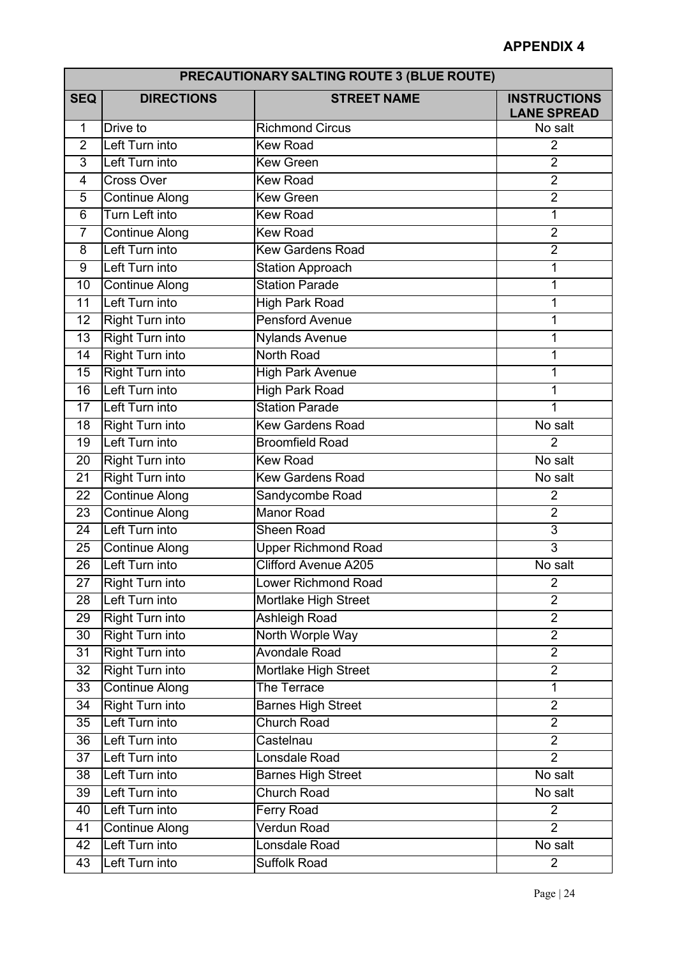|                 | <b>PRECAUTIONARY SALTING ROUTE 3 (BLUE ROUTE)</b> |                             |                                           |  |
|-----------------|---------------------------------------------------|-----------------------------|-------------------------------------------|--|
| <b>SEQ</b>      | <b>DIRECTIONS</b>                                 | <b>STREET NAME</b>          | <b>INSTRUCTIONS</b><br><b>LANE SPREAD</b> |  |
| 1               | Drive to                                          | <b>Richmond Circus</b>      | No salt                                   |  |
| $\overline{2}$  | Left Turn into                                    | <b>Kew Road</b>             | $\overline{2}$                            |  |
| $\overline{3}$  | Left Turn into                                    | <b>Kew Green</b>            | $\overline{2}$                            |  |
| 4               | <b>Cross Over</b>                                 | <b>Kew Road</b>             | $\overline{2}$                            |  |
| 5               | <b>Continue Along</b>                             | <b>Kew Green</b>            | $\overline{2}$                            |  |
| $\overline{6}$  | Turn Left into                                    | <b>Kew Road</b>             | 1                                         |  |
| $\overline{7}$  | <b>Continue Along</b>                             | <b>Kew Road</b>             | $\overline{2}$                            |  |
| 8               | Left Turn into                                    | <b>Kew Gardens Road</b>     | $\overline{2}$                            |  |
| 9               | Left Turn into                                    | <b>Station Approach</b>     | 1                                         |  |
| 10              | <b>Continue Along</b>                             | <b>Station Parade</b>       | 1                                         |  |
| 11              | Left Turn into                                    | <b>High Park Road</b>       | 1                                         |  |
| 12              | <b>Right Turn into</b>                            | <b>Pensford Avenue</b>      | 1                                         |  |
| 13              | <b>Right Turn into</b>                            | <b>Nylands Avenue</b>       | 1                                         |  |
| 14              | <b>Right Turn into</b>                            | North Road                  | 1                                         |  |
| 15              | <b>Right Turn into</b>                            | <b>High Park Avenue</b>     | 1                                         |  |
| 16              | Left Turn into                                    | <b>High Park Road</b>       | 1                                         |  |
| 17              | Left Turn into                                    | <b>Station Parade</b>       | 1                                         |  |
| $\overline{18}$ | <b>Right Turn into</b>                            | <b>Kew Gardens Road</b>     | No salt                                   |  |
| 19              | Left Turn into                                    | <b>Broomfield Road</b>      | $\overline{2}$                            |  |
| 20              | <b>Right Turn into</b>                            | <b>Kew Road</b>             | No salt                                   |  |
| 21              | <b>Right Turn into</b>                            | <b>Kew Gardens Road</b>     | No salt                                   |  |
| 22              | <b>Continue Along</b>                             | Sandycombe Road             | $\overline{2}$                            |  |
| 23              | Continue Along                                    | <b>Manor Road</b>           | $\overline{2}$                            |  |
| 24              | Left Turn into                                    | <b>Sheen Road</b>           | 3                                         |  |
| 25              | <b>Continue Along</b>                             | <b>Upper Richmond Road</b>  | $\overline{3}$                            |  |
| 26              | Left Turn into                                    | <b>Clifford Avenue A205</b> | No salt                                   |  |
| 27              | <b>Right Turn into</b>                            | Lower Richmond Road         | $\overline{2}$                            |  |
| 28              | Left Turn into                                    | Mortlake High Street        | $\overline{2}$                            |  |
| 29              | <b>Right Turn into</b>                            | <b>Ashleigh Road</b>        | $\overline{2}$                            |  |
| 30              | <b>Right Turn into</b>                            | North Worple Way            | $\overline{2}$                            |  |
| 31              | <b>Right Turn into</b>                            | <b>Avondale Road</b>        | $\overline{2}$                            |  |
| $\overline{32}$ | <b>Right Turn into</b>                            | <b>Mortlake High Street</b> | $\overline{2}$                            |  |
| $\overline{33}$ | <b>Continue Along</b>                             | The Terrace                 | $\mathbf{1}$                              |  |
| 34              | <b>Right Turn into</b>                            | <b>Barnes High Street</b>   | $\overline{2}$                            |  |
| 35              | Left Turn into                                    | <b>Church Road</b>          | $\overline{2}$                            |  |
| 36              | Left Turn into                                    | Castelnau                   | $\overline{2}$                            |  |
| 37              | Left Turn into                                    | Lonsdale Road               | $\overline{2}$                            |  |
| 38              | Left Turn into                                    | <b>Barnes High Street</b>   | No salt                                   |  |
| $\overline{39}$ | Left Turn into                                    | <b>Church Road</b>          | No salt                                   |  |
| 40              | Left Turn into                                    | Ferry Road                  | $\overline{2}$                            |  |
| 41              | <b>Continue Along</b>                             | <b>Verdun Road</b>          | $\overline{2}$                            |  |
| 42              | Left Turn into                                    | Lonsdale Road               | No salt                                   |  |
| 43              | Left Turn into                                    | <b>Suffolk Road</b>         | $\overline{2}$                            |  |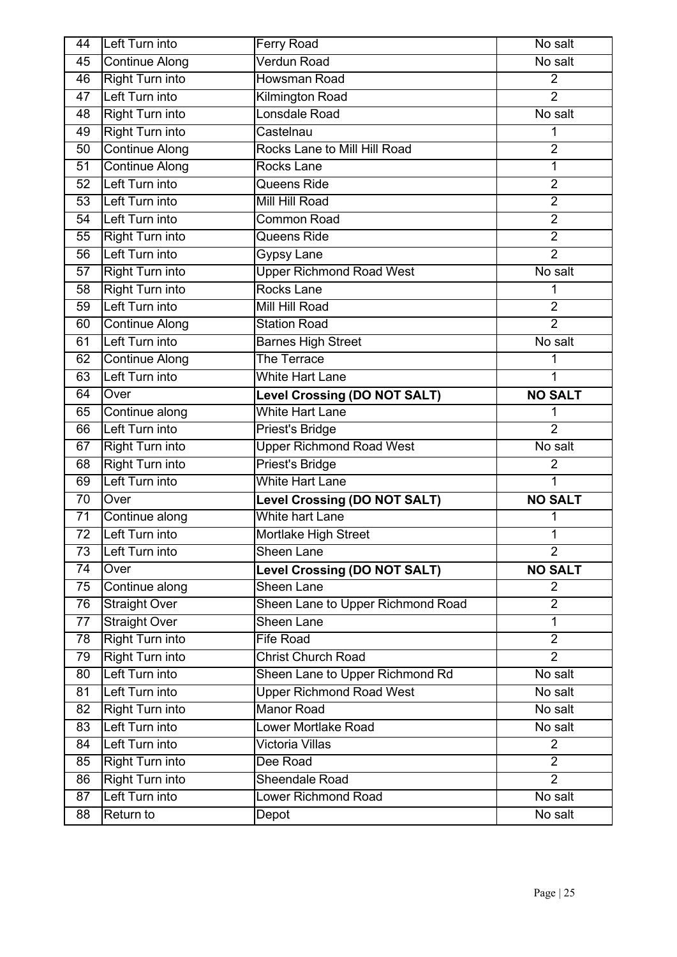| 44 | Left Turn into         | Ferry Road                          | No salt              |
|----|------------------------|-------------------------------------|----------------------|
| 45 | <b>Continue Along</b>  | <b>Verdun Road</b>                  | No salt              |
| 46 | <b>Right Turn into</b> | <b>Howsman Road</b>                 | $\overline{2}$       |
| 47 | Left Turn into         | <b>Kilmington Road</b>              | $\overline{2}$       |
| 48 | <b>Right Turn into</b> | Lonsdale Road                       | No salt              |
| 49 | <b>Right Turn into</b> | Castelnau                           | 1                    |
| 50 | <b>Continue Along</b>  | Rocks Lane to Mill Hill Road        | $\overline{2}$       |
| 51 | <b>Continue Along</b>  | <b>Rocks Lane</b>                   | $\mathbf{1}$         |
| 52 | Left Turn into         | Queens Ride                         | $\overline{2}$       |
| 53 | Left Turn into         | Mill Hill Road                      | $\overline{2}$       |
| 54 | Left Turn into         | <b>Common Road</b>                  | $\overline{2}$       |
| 55 | Right Turn into        | Queens Ride                         | $\overline{2}$       |
| 56 | Left Turn into         | <b>Gypsy Lane</b>                   | $\overline{2}$       |
| 57 | <b>Right Turn into</b> | <b>Upper Richmond Road West</b>     | No salt              |
| 58 | <b>Right Turn into</b> | <b>Rocks Lane</b>                   | 1                    |
| 59 | Left Turn into         | Mill Hill Road                      | $\overline{2}$       |
| 60 | <b>Continue Along</b>  | <b>Station Road</b>                 | $\overline{2}$       |
| 61 | Left Turn into         | <b>Barnes High Street</b>           | No salt              |
| 62 | <b>Continue Along</b>  | The Terrace                         | 1                    |
| 63 | Left Turn into         | <b>White Hart Lane</b>              | 1                    |
| 64 | Over                   | <b>Level Crossing (DO NOT SALT)</b> | <b>NO SALT</b>       |
| 65 | Continue along         | <b>White Hart Lane</b>              | 1                    |
| 66 | Left Turn into         | Priest's Bridge                     | $\overline{2}$       |
| 67 | <b>Right Turn into</b> | <b>Upper Richmond Road West</b>     | No salt              |
| 68 | <b>Right Turn into</b> | <b>Priest's Bridge</b>              | $\overline{2}$       |
| 69 | Left Turn into         | <b>White Hart Lane</b>              | $\mathbf{1}$         |
| 70 | Over                   | <b>Level Crossing (DO NOT SALT)</b> | <b>NO SALT</b>       |
| 71 | Continue along         | <b>White hart Lane</b>              | 1                    |
| 72 | Left Turn into         | Mortlake High Street                | 1                    |
| 73 | Left Turn into         | Sheen Lane                          | $\overline{2}$       |
| 74 | Over                   | <b>Level Crossing (DO NOT SALT)</b> | <b>NO SALT</b>       |
| 75 | Continue along         | Sheen Lane                          | $\overline{2}$       |
| 76 | <b>Straight Over</b>   | Sheen Lane to Upper Richmond Road   | $\overline{2}$       |
| 77 | <b>Straight Over</b>   | Sheen Lane                          | $\mathbf{1}$         |
| 78 | <b>Right Turn into</b> | <b>Fife Road</b>                    | $\overline{2}$       |
| 79 | <b>Right Turn into</b> | <b>Christ Church Road</b>           | $\overline{2}$       |
| 80 | Left Turn into         | Sheen Lane to Upper Richmond Rd     | No salt              |
| 81 | Left Turn into         | <b>Upper Richmond Road West</b>     | No salt              |
| 82 | <b>Right Turn into</b> | <b>Manor Road</b>                   | No salt              |
| 83 | Left Turn into         | <b>Lower Mortlake Road</b>          | No salt              |
| 84 | Left Turn into         | <b>Victoria Villas</b>              | $\overline{2}$       |
| 85 | <b>Right Turn into</b> | Dee Road                            | $\overline{2}$       |
| 86 | <b>Right Turn into</b> | <b>Sheendale Road</b>               | $\overline{2}$       |
| 87 | Left Turn into         | <b>Lower Richmond Road</b>          | No salt              |
| 88 | Return to              | Depot                               | $\overline{No}$ salt |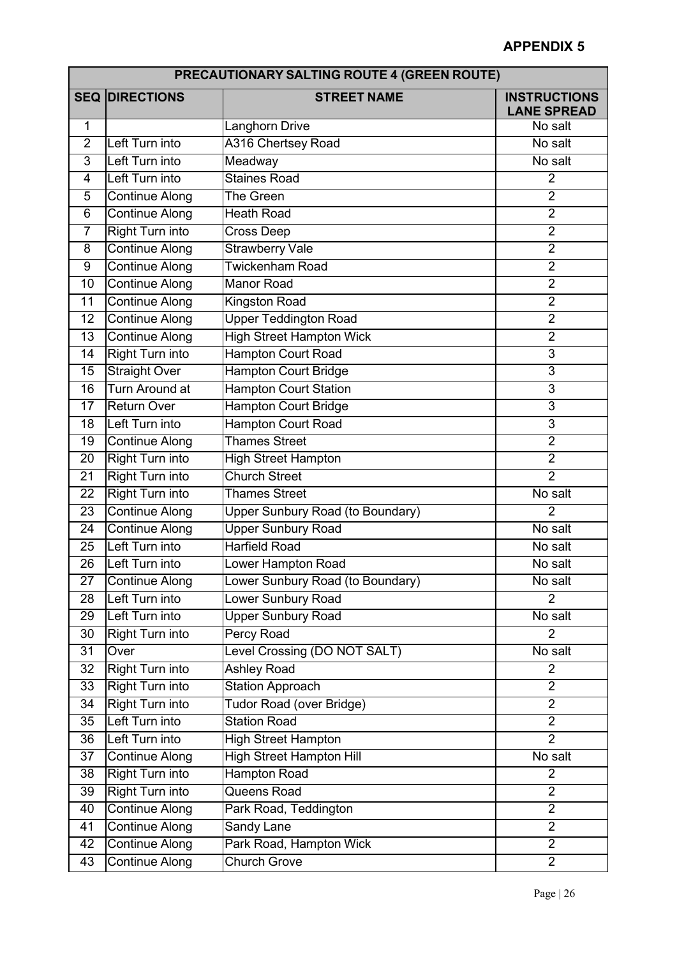| <b>PRECAUTIONARY SALTING ROUTE 4 (GREEN ROUTE)</b> |                        |                                         |                                           |
|----------------------------------------------------|------------------------|-----------------------------------------|-------------------------------------------|
|                                                    | <b>SEQ DIRECTIONS</b>  | <b>STREET NAME</b>                      | <b>INSTRUCTIONS</b><br><b>LANE SPREAD</b> |
| 1                                                  |                        | Langhorn Drive                          | No salt                                   |
| $\overline{2}$                                     | Left Turn into         | <b>A316 Chertsey Road</b>               | No salt                                   |
| 3                                                  | Left Turn into         | Meadway                                 | No salt                                   |
| $\overline{4}$                                     | Left Turn into         | <b>Staines Road</b>                     | $\overline{2}$                            |
| 5                                                  | <b>Continue Along</b>  | The Green                               | $\overline{2}$                            |
| $\overline{6}$                                     | <b>Continue Along</b>  | <b>Heath Road</b>                       | $\overline{2}$                            |
| $\overline{7}$                                     | <b>Right Turn into</b> | <b>Cross Deep</b>                       | $\overline{2}$                            |
| 8                                                  | <b>Continue Along</b>  | <b>Strawberry Vale</b>                  | $\overline{2}$                            |
| $\overline{9}$                                     | <b>Continue Along</b>  | Twickenham Road                         | $\overline{2}$                            |
| 10                                                 | <b>Continue Along</b>  | <b>Manor Road</b>                       | $\overline{2}$                            |
| $\overline{11}$                                    | <b>Continue Along</b>  | <b>Kingston Road</b>                    | $\overline{2}$                            |
| 12                                                 | <b>Continue Along</b>  | <b>Upper Teddington Road</b>            | $\overline{2}$                            |
| 13                                                 | <b>Continue Along</b>  | <b>High Street Hampton Wick</b>         | $\overline{2}$                            |
| 14                                                 | <b>Right Turn into</b> | <b>Hampton Court Road</b>               | $\overline{3}$                            |
| 15                                                 | <b>Straight Over</b>   | <b>Hampton Court Bridge</b>             | $\overline{3}$                            |
| 16                                                 | <b>Turn Around at</b>  | <b>Hampton Court Station</b>            | $\overline{3}$                            |
| 17                                                 | <b>Return Over</b>     | <b>Hampton Court Bridge</b>             | $\overline{3}$                            |
| $\overline{18}$                                    | Left Turn into         | <b>Hampton Court Road</b>               | $\overline{3}$                            |
| 19                                                 | <b>Continue Along</b>  | <b>Thames Street</b>                    | $\overline{2}$                            |
| 20                                                 | <b>Right Turn into</b> | <b>High Street Hampton</b>              | $\overline{2}$                            |
| 21                                                 | <b>Right Turn into</b> | <b>Church Street</b>                    | $\overline{2}$                            |
| 22                                                 | <b>Right Turn into</b> | <b>Thames Street</b>                    | No salt                                   |
| 23                                                 | <b>Continue Along</b>  | <b>Upper Sunbury Road (to Boundary)</b> | $\overline{2}$                            |
| 24                                                 | <b>Continue Along</b>  | <b>Upper Sunbury Road</b>               | No salt                                   |
| $\overline{25}$                                    | Left Turn into         | <b>Harfield Road</b>                    | No salt                                   |
| 26                                                 | Left Turn into         | Lower Hampton Road                      | No salt                                   |
| $\overline{27}$                                    | Continue Along         | Lower Sunbury Road (to Boundary)        | No salt                                   |
| 28                                                 | Left Turn into         | Lower Sunbury Road                      | $\overline{2}$                            |
| 29                                                 | Left Turn into         | <b>Upper Sunbury Road</b>               | No salt                                   |
| 30                                                 | <b>Right Turn into</b> | <b>Percy Road</b>                       | $\overline{2}$                            |
| 31                                                 | Over                   | Level Crossing (DO NOT SALT)            | No salt                                   |
| $\overline{32}$                                    | <b>Right Turn into</b> | <b>Ashley Road</b>                      | $\overline{2}$                            |
| 33                                                 | <b>Right Turn into</b> | <b>Station Approach</b>                 | $\overline{2}$                            |
| $\overline{34}$                                    | <b>Right Turn into</b> | Tudor Road (over Bridge)                | $\overline{2}$                            |
| 35                                                 | Left Turn into         | <b>Station Road</b>                     | $\overline{2}$                            |
| 36                                                 | Left Turn into         | <b>High Street Hampton</b>              | $\overline{2}$                            |
| 37                                                 | <b>Continue Along</b>  | <b>High Street Hampton Hill</b>         | No salt                                   |
| 38                                                 | <b>Right Turn into</b> | <b>Hampton Road</b>                     | $\overline{2}$                            |
| $\overline{39}$                                    | <b>Right Turn into</b> | Queens Road                             | $\overline{2}$                            |
| 40                                                 | Continue Along         | Park Road, Teddington                   | $\overline{2}$                            |
| 41                                                 | <b>Continue Along</b>  | Sandy Lane                              | $\overline{2}$                            |
| 42                                                 | <b>Continue Along</b>  | Park Road, Hampton Wick                 | $\overline{2}$                            |
| 43                                                 | <b>Continue Along</b>  | <b>Church Grove</b>                     | $\overline{2}$                            |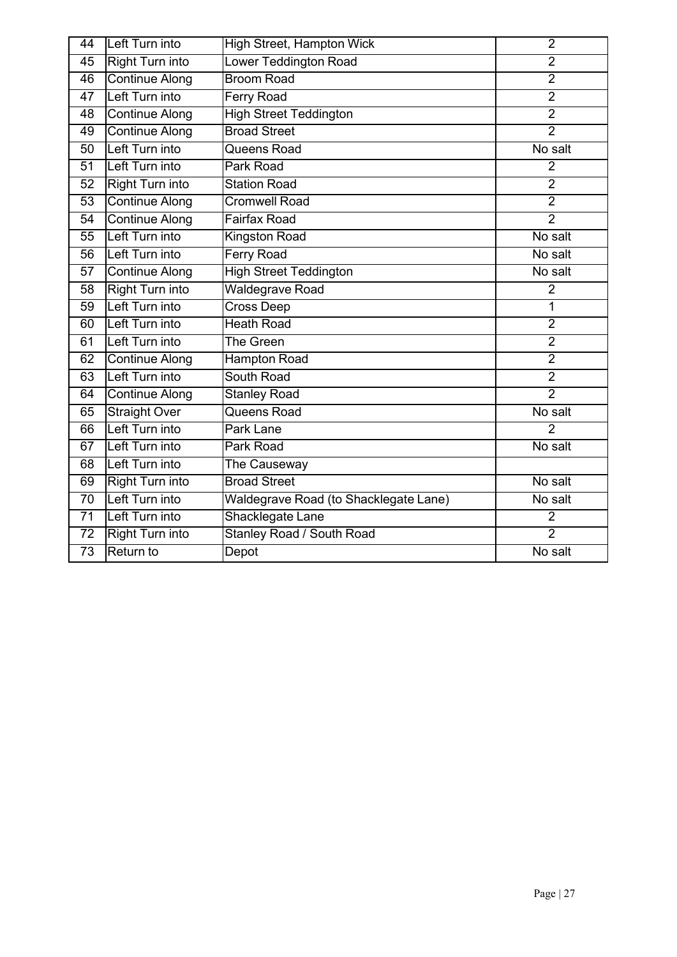| 44              | Left Turn into         | <b>High Street, Hampton Wick</b>      | $\overline{2}$        |
|-----------------|------------------------|---------------------------------------|-----------------------|
| 45              | <b>Right Turn into</b> | Lower Teddington Road                 | $\overline{2}$        |
| 46              | <b>Continue Along</b>  | <b>Broom Road</b>                     | $\overline{2}$        |
| 47              | Left Turn into         | <b>Ferry Road</b>                     | $\overline{2}$        |
| 48              | <b>Continue Along</b>  | <b>High Street Teddington</b>         | $\overline{2}$        |
| 49              | <b>Continue Along</b>  | <b>Broad Street</b>                   | $\overline{2}$        |
| $\overline{50}$ | Left Turn into         | Queens Road                           | No salt               |
| $\overline{51}$ | Left Turn into         | Park Road                             | $\overline{2}$        |
| 52              | <b>Right Turn into</b> | <b>Station Road</b>                   | $\overline{2}$        |
| $\overline{53}$ | <b>Continue Along</b>  | <b>Cromwell Road</b>                  | $\overline{2}$        |
| 54              | <b>Continue Along</b>  | <b>Fairfax Road</b>                   | $\overline{2}$        |
| $\overline{55}$ | Left Turn into         | <b>Kingston Road</b>                  | No salt               |
| 56              | Left Turn into         | <b>Ferry Road</b>                     | $\overline{N}$ o salt |
| 57              | <b>Continue Along</b>  | <b>High Street Teddington</b>         | No salt               |
| 58              | <b>Right Turn into</b> | <b>Waldegrave Road</b>                | $\overline{2}$        |
| 59              | Left Turn into         | Cross Deep                            | $\overline{1}$        |
| 60              | Left Turn into         | <b>Heath Road</b>                     | $\overline{2}$        |
| 61              | Left Turn into         | The Green                             | $\overline{2}$        |
| 62              | <b>Continue Along</b>  | <b>Hampton Road</b>                   | $\overline{2}$        |
| 63              | Left Turn into         | <b>South Road</b>                     | $\overline{2}$        |
| 64              | <b>Continue Along</b>  | <b>Stanley Road</b>                   | $\overline{2}$        |
| 65              | <b>Straight Over</b>   | Queens Road                           | No salt               |
| 66              | Left Turn into         | <b>Park Lane</b>                      | $\overline{2}$        |
| 67              | Left Turn into         | Park Road                             | No salt               |
| 68              | Left Turn into         | The Causeway                          |                       |
| 69              | <b>Right Turn into</b> | <b>Broad Street</b>                   | No salt               |
| $\overline{70}$ | Left Turn into         | Waldegrave Road (to Shacklegate Lane) | No salt               |
| $\overline{71}$ | Left Turn into         | Shacklegate Lane                      | $\overline{2}$        |
| $\overline{72}$ | <b>Right Turn into</b> | <b>Stanley Road / South Road</b>      | $\overline{2}$        |
| $\overline{73}$ | Return to              | Depot                                 | No salt               |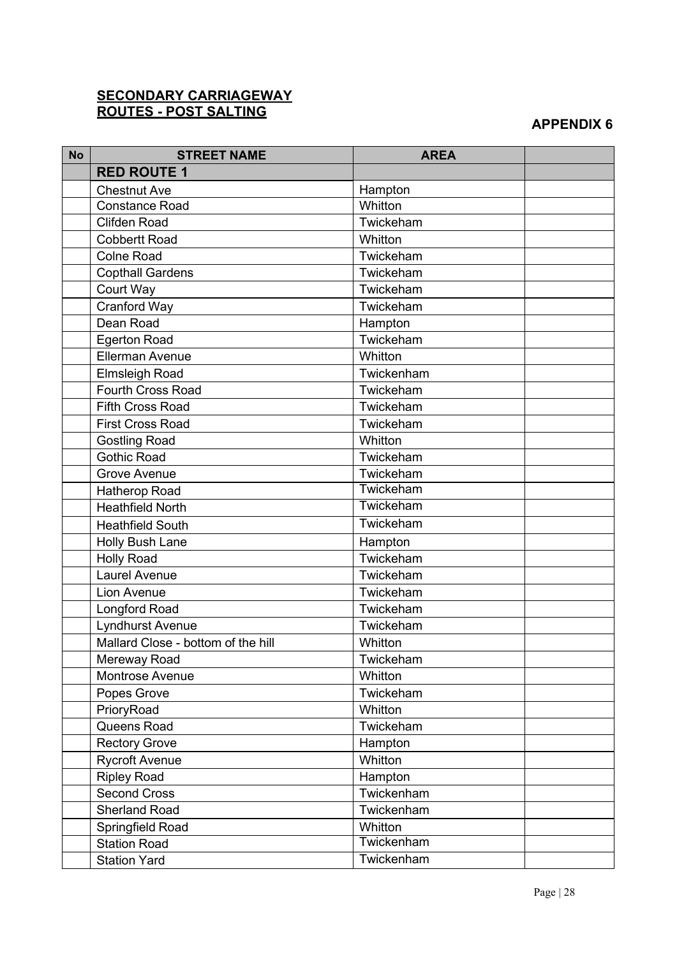#### **SECONDARY CARRIAGEWAY ROUTES - POST SALTING**

| <b>No</b> | <b>STREET NAME</b>                 | <b>AREA</b> |  |
|-----------|------------------------------------|-------------|--|
|           | <b>RED ROUTE 1</b>                 |             |  |
|           | <b>Chestnut Ave</b>                | Hampton     |  |
|           | <b>Constance Road</b>              | Whitton     |  |
|           | <b>Clifden Road</b>                | Twickeham   |  |
|           | <b>Cobbertt Road</b>               | Whitton     |  |
|           | <b>Colne Road</b>                  | Twickeham   |  |
|           | <b>Copthall Gardens</b>            | Twickeham   |  |
|           | Court Way                          | Twickeham   |  |
|           | <b>Cranford Way</b>                | Twickeham   |  |
|           | Dean Road                          | Hampton     |  |
|           | <b>Egerton Road</b>                | Twickeham   |  |
|           | <b>Ellerman Avenue</b>             | Whitton     |  |
|           | <b>Elmsleigh Road</b>              | Twickenham  |  |
|           | <b>Fourth Cross Road</b>           | Twickeham   |  |
|           | <b>Fifth Cross Road</b>            | Twickeham   |  |
|           | <b>First Cross Road</b>            | Twickeham   |  |
|           | <b>Gostling Road</b>               | Whitton     |  |
|           | <b>Gothic Road</b>                 | Twickeham   |  |
|           | <b>Grove Avenue</b>                | Twickeham   |  |
|           | <b>Hatherop Road</b>               | Twickeham   |  |
|           | <b>Heathfield North</b>            | Twickeham   |  |
|           | <b>Heathfield South</b>            | Twickeham   |  |
|           | Holly Bush Lane                    | Hampton     |  |
|           | <b>Holly Road</b>                  | Twickeham   |  |
|           | Laurel Avenue                      | Twickeham   |  |
|           | Lion Avenue                        | Twickeham   |  |
|           | Longford Road                      | Twickeham   |  |
|           | Lyndhurst Avenue                   | Twickeham   |  |
|           | Mallard Close - bottom of the hill | Whitton     |  |
|           | Mereway Road                       | Twickeham   |  |
|           | Montrose Avenue                    | Whitton     |  |
|           | Popes Grove                        | Twickeham   |  |
|           | PrioryRoad                         | Whitton     |  |
|           | Queens Road                        | Twickeham   |  |
|           | <b>Rectory Grove</b>               | Hampton     |  |
|           | <b>Rycroft Avenue</b>              | Whitton     |  |
|           | <b>Ripley Road</b>                 | Hampton     |  |
|           | <b>Second Cross</b>                | Twickenham  |  |
|           | <b>Sherland Road</b>               | Twickenham  |  |
|           | Springfield Road                   | Whitton     |  |
|           | <b>Station Road</b>                | Twickenham  |  |
|           | <b>Station Yard</b>                | Twickenham  |  |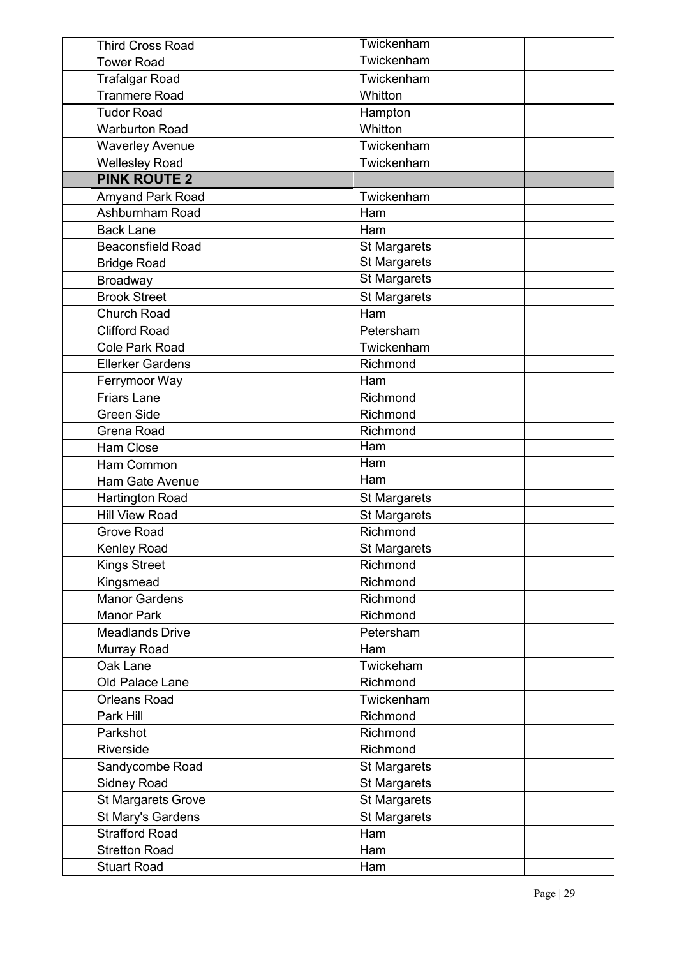| <b>Third Cross Road</b>   | Twickenham              |  |
|---------------------------|-------------------------|--|
| <b>Tower Road</b>         | Twickenham              |  |
| <b>Trafalgar Road</b>     | Twickenham              |  |
| <b>Tranmere Road</b>      | Whitton                 |  |
| <b>Tudor Road</b>         | Hampton                 |  |
| <b>Warburton Road</b>     | Whitton                 |  |
| <b>Waverley Avenue</b>    | Twickenham              |  |
| <b>Wellesley Road</b>     | Twickenham              |  |
| <b>PINK ROUTE 2</b>       |                         |  |
| Amyand Park Road          | Twickenham              |  |
| Ashburnham Road           | Ham                     |  |
| <b>Back Lane</b>          | Ham                     |  |
| <b>Beaconsfield Road</b>  | <b>St Margarets</b>     |  |
| <b>Bridge Road</b>        | <b>St Margarets</b>     |  |
| Broadway                  | <b>St Margarets</b>     |  |
| <b>Brook Street</b>       | <b>St Margarets</b>     |  |
| <b>Church Road</b>        | Ham                     |  |
| <b>Clifford Road</b>      | Petersham               |  |
| <b>Cole Park Road</b>     | Twickenham              |  |
| <b>Ellerker Gardens</b>   | Richmond                |  |
| Ferrymoor Way             | Ham                     |  |
| <b>Friars Lane</b>        | Richmond                |  |
| <b>Green Side</b>         | Richmond                |  |
| <b>Grena Road</b>         | Richmond                |  |
| Ham Close                 | Ham                     |  |
| Ham Common                | $\overline{\text{Ham}}$ |  |
| Ham Gate Avenue           | $\overline{H}$ am       |  |
| <b>Hartington Road</b>    | <b>St Margarets</b>     |  |
| <b>Hill View Road</b>     | <b>St Margarets</b>     |  |
| <b>Grove Road</b>         | Richmond                |  |
| Kenley Road               | <b>St Margarets</b>     |  |
| <b>Kings Street</b>       | Richmond                |  |
| Kingsmead                 | Richmond                |  |
| <b>Manor Gardens</b>      | Richmond                |  |
| <b>Manor Park</b>         | Richmond                |  |
| <b>Meadlands Drive</b>    | Petersham               |  |
| Murray Road               | Ham                     |  |
| Oak Lane                  | Twickeham               |  |
| Old Palace Lane           | Richmond                |  |
| <b>Orleans Road</b>       | Twickenham              |  |
| Park Hill                 | Richmond                |  |
| Parkshot                  | Richmond                |  |
| Riverside                 | Richmond                |  |
| Sandycombe Road           | <b>St Margarets</b>     |  |
| <b>Sidney Road</b>        | <b>St Margarets</b>     |  |
| <b>St Margarets Grove</b> | <b>St Margarets</b>     |  |
| St Mary's Gardens         | St Margarets            |  |
| <b>Strafford Road</b>     | Ham                     |  |
| <b>Stretton Road</b>      | Ham                     |  |
| <b>Stuart Road</b>        | Ham                     |  |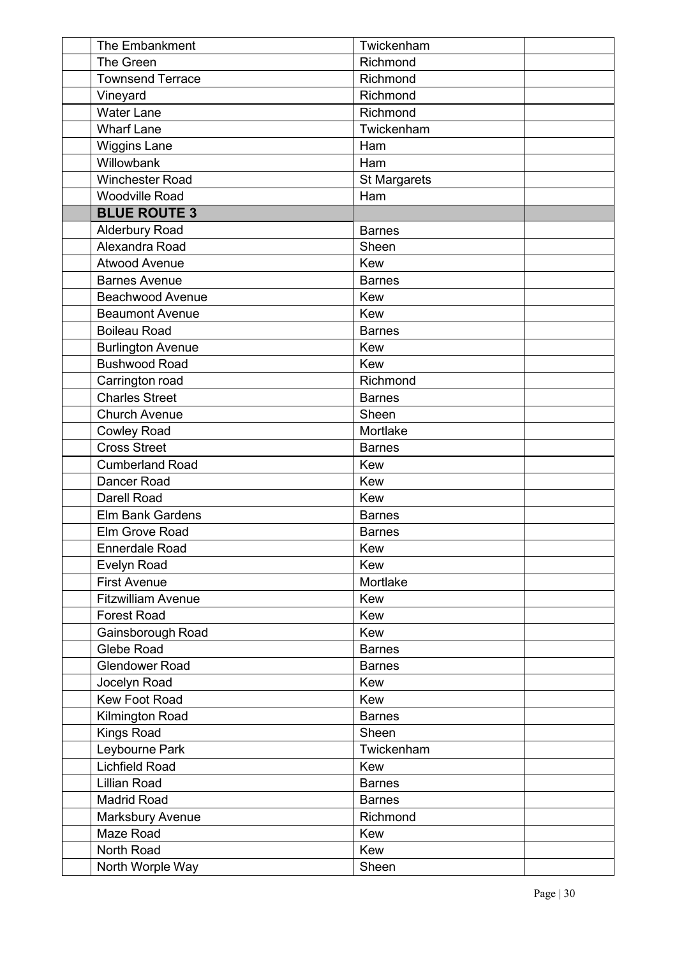| The Embankment            | Twickenham          |
|---------------------------|---------------------|
| The Green                 | Richmond            |
| <b>Townsend Terrace</b>   | Richmond            |
| Vineyard                  | Richmond            |
| <b>Water Lane</b>         | Richmond            |
| <b>Wharf Lane</b>         | Twickenham          |
| <b>Wiggins Lane</b>       | Ham                 |
| Willowbank                | Ham                 |
| <b>Winchester Road</b>    | <b>St Margarets</b> |
| <b>Woodville Road</b>     | Ham                 |
| <b>BLUE ROUTE 3</b>       |                     |
| <b>Alderbury Road</b>     | <b>Barnes</b>       |
| Alexandra Road            | Sheen               |
| <b>Atwood Avenue</b>      | Kew                 |
| <b>Barnes Avenue</b>      | <b>Barnes</b>       |
| <b>Beachwood Avenue</b>   | Kew                 |
| <b>Beaumont Avenue</b>    | <b>Kew</b>          |
| <b>Boileau Road</b>       | <b>Barnes</b>       |
| <b>Burlington Avenue</b>  | Kew                 |
| <b>Bushwood Road</b>      | Kew                 |
| Carrington road           | Richmond            |
| <b>Charles Street</b>     | <b>Barnes</b>       |
| <b>Church Avenue</b>      | Sheen               |
| <b>Cowley Road</b>        | Mortlake            |
| <b>Cross Street</b>       | <b>Barnes</b>       |
| <b>Cumberland Road</b>    | Kew                 |
| Dancer Road               | Kew                 |
| <b>Darell Road</b>        | Kew                 |
| <b>Elm Bank Gardens</b>   | <b>Barnes</b>       |
| Elm Grove Road            | <b>Barnes</b>       |
| Ennerdale Road            | Kew                 |
| <b>Evelyn Road</b>        | Kew                 |
| <b>First Avenue</b>       | Mortlake            |
| <b>Fitzwilliam Avenue</b> | Kew                 |
| <b>Forest Road</b>        | Kew                 |
| Gainsborough Road         | <b>Kew</b>          |
| Glebe Road                | <b>Barnes</b>       |
| <b>Glendower Road</b>     | <b>Barnes</b>       |
| Jocelyn Road              | Kew                 |
| <b>Kew Foot Road</b>      | Kew                 |
| Kilmington Road           | <b>Barnes</b>       |
| <b>Kings Road</b>         | Sheen               |
| Leybourne Park            | Twickenham          |
| <b>Lichfield Road</b>     | Kew                 |
| <b>Lillian Road</b>       | <b>Barnes</b>       |
| <b>Madrid Road</b>        | <b>Barnes</b>       |
| Marksbury Avenue          | Richmond            |
| Maze Road                 | Kew                 |
| North Road                | Kew                 |
| North Worple Way          | Sheen               |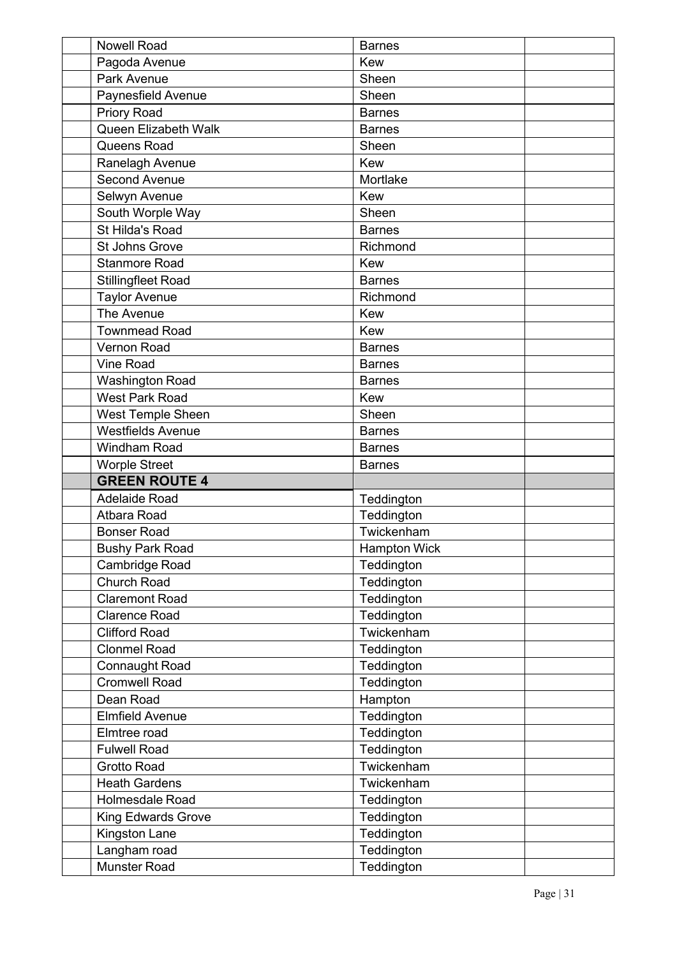| <b>Nowell Road</b>                  | <b>Barnes</b>            |  |
|-------------------------------------|--------------------------|--|
| Pagoda Avenue                       | <b>Kew</b>               |  |
| Park Avenue                         | Sheen                    |  |
| Paynesfield Avenue                  | Sheen                    |  |
| <b>Priory Road</b>                  | <b>Barnes</b>            |  |
| Queen Elizabeth Walk                | <b>Barnes</b>            |  |
| Queens Road                         | Sheen                    |  |
| Ranelagh Avenue                     | <b>Kew</b>               |  |
| <b>Second Avenue</b>                | Mortlake                 |  |
| Selwyn Avenue                       | Kew                      |  |
| South Worple Way                    | Sheen                    |  |
| St Hilda's Road                     | <b>Barnes</b>            |  |
| <b>St Johns Grove</b>               | Richmond                 |  |
| <b>Stanmore Road</b>                | Kew                      |  |
| <b>Stillingfleet Road</b>           | <b>Barnes</b>            |  |
| <b>Taylor Avenue</b>                | Richmond                 |  |
| The Avenue                          | <b>Kew</b>               |  |
| <b>Townmead Road</b>                | <b>Kew</b>               |  |
| <b>Vernon Road</b>                  | <b>Barnes</b>            |  |
| <b>Vine Road</b>                    | <b>Barnes</b>            |  |
| <b>Washington Road</b>              | <b>Barnes</b>            |  |
| <b>West Park Road</b>               | <b>Kew</b>               |  |
| West Temple Sheen                   | Sheen                    |  |
| <b>Westfields Avenue</b>            | <b>Barnes</b>            |  |
| Windham Road                        | <b>Barnes</b>            |  |
|                                     |                          |  |
| <b>Worple Street</b>                | <b>Barnes</b>            |  |
| <b>GREEN ROUTE 4</b>                |                          |  |
| <b>Adelaide Road</b>                | Teddington               |  |
| Atbara Road                         | Teddington               |  |
| <b>Bonser Road</b>                  | Twickenham               |  |
| <b>Bushy Park Road</b>              | <b>Hampton Wick</b>      |  |
| Cambridge Road                      | Teddington               |  |
| <b>Church Road</b>                  | Teddington               |  |
| <b>Claremont Road</b>               | Teddington               |  |
| <b>Clarence Road</b>                | Teddington               |  |
| <b>Clifford Road</b>                | Twickenham               |  |
| <b>Clonmel Road</b>                 | Teddington               |  |
| Connaught Road                      | Teddington               |  |
| <b>Cromwell Road</b>                | Teddington               |  |
| Dean Road                           | Hampton                  |  |
| <b>Elmfield Avenue</b>              | Teddington               |  |
| Elmtree road                        | Teddington               |  |
| <b>Fulwell Road</b>                 | Teddington               |  |
| <b>Grotto Road</b>                  | Twickenham               |  |
| <b>Heath Gardens</b>                | Twickenham               |  |
| <b>Holmesdale Road</b>              | Teddington               |  |
| <b>King Edwards Grove</b>           | Teddington               |  |
| Kingston Lane                       | Teddington               |  |
| Langham road<br><b>Munster Road</b> | Teddington<br>Teddington |  |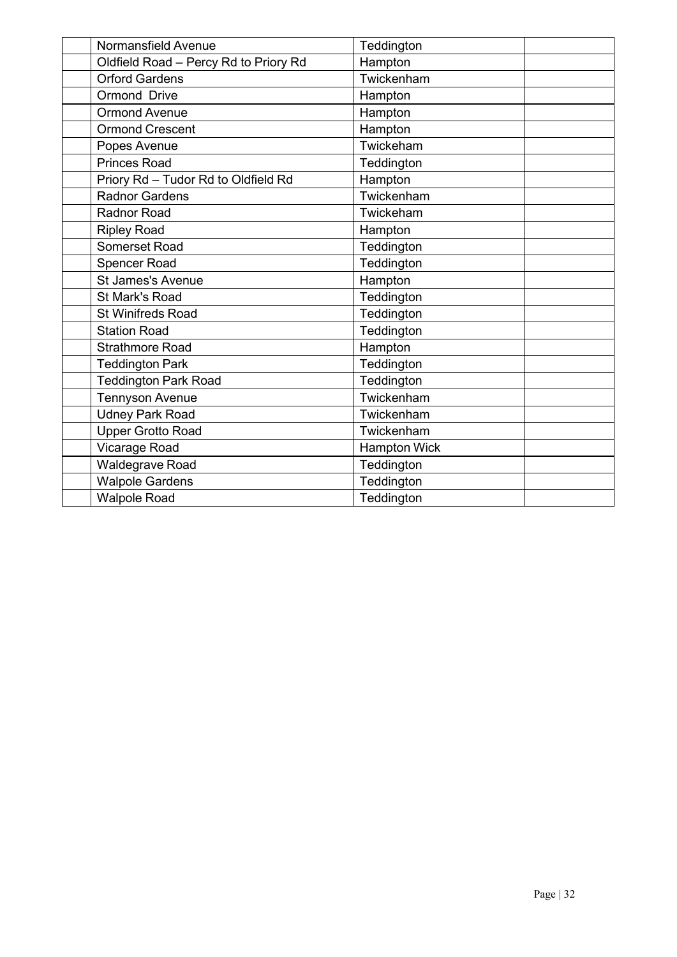| Normansfield Avenue                   | Teddington          |  |
|---------------------------------------|---------------------|--|
| Oldfield Road - Percy Rd to Priory Rd | Hampton             |  |
| <b>Orford Gardens</b>                 | Twickenham          |  |
| Ormond Drive                          | Hampton             |  |
| <b>Ormond Avenue</b>                  | Hampton             |  |
| <b>Ormond Crescent</b>                | Hampton             |  |
| Popes Avenue                          | Twickeham           |  |
| <b>Princes Road</b>                   | Teddington          |  |
| Priory Rd - Tudor Rd to Oldfield Rd   | Hampton             |  |
| <b>Radnor Gardens</b>                 | Twickenham          |  |
| <b>Radnor Road</b>                    | Twickeham           |  |
| <b>Ripley Road</b>                    | Hampton             |  |
| Somerset Road                         | Teddington          |  |
| <b>Spencer Road</b>                   | Teddington          |  |
| <b>St James's Avenue</b>              | Hampton             |  |
| St Mark's Road                        | Teddington          |  |
| <b>St Winifreds Road</b>              | Teddington          |  |
| <b>Station Road</b>                   | Teddington          |  |
| <b>Strathmore Road</b>                | Hampton             |  |
| <b>Teddington Park</b>                | Teddington          |  |
| <b>Teddington Park Road</b>           | Teddington          |  |
| <b>Tennyson Avenue</b>                | Twickenham          |  |
| <b>Udney Park Road</b>                | Twickenham          |  |
| <b>Upper Grotto Road</b>              | Twickenham          |  |
| Vicarage Road                         | <b>Hampton Wick</b> |  |
| Waldegrave Road                       | Teddington          |  |
| <b>Walpole Gardens</b>                | Teddington          |  |
| <b>Walpole Road</b>                   | Teddington          |  |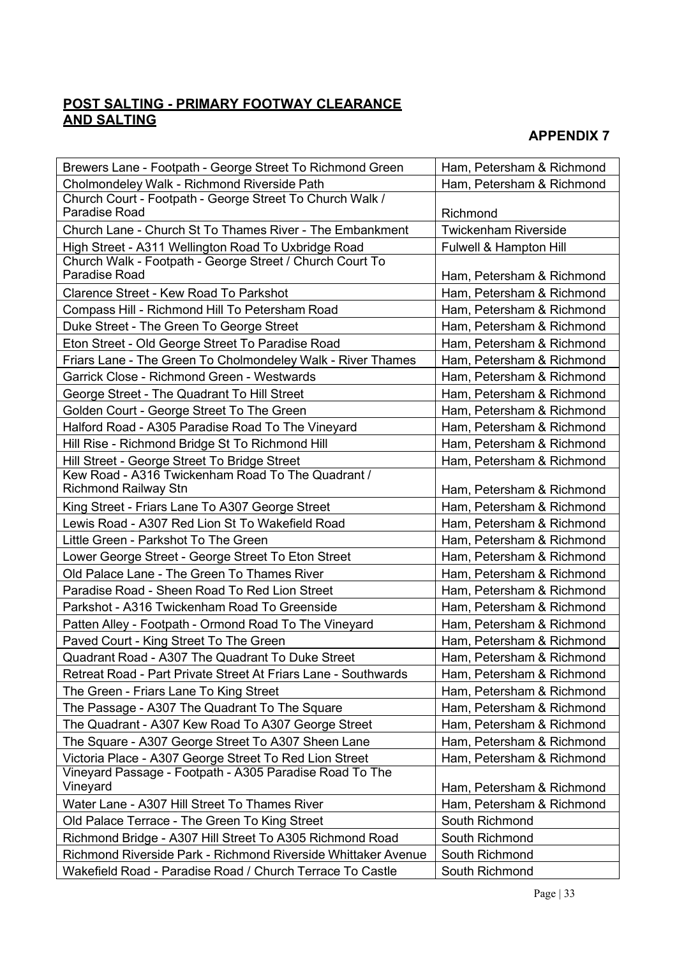## **POST SALTING - PRIMARY FOOTWAY CLEARANCE AND SALTING**

| Brewers Lane - Footpath - George Street To Richmond Green                        | Ham, Petersham & Richmond   |
|----------------------------------------------------------------------------------|-----------------------------|
| Cholmondeley Walk - Richmond Riverside Path                                      | Ham, Petersham & Richmond   |
| Church Court - Footpath - George Street To Church Walk /<br><b>Paradise Road</b> | Richmond                    |
| Church Lane - Church St To Thames River - The Embankment                         | <b>Twickenham Riverside</b> |
| High Street - A311 Wellington Road To Uxbridge Road                              | Fulwell & Hampton Hill      |
| Church Walk - Footpath - George Street / Church Court To<br><b>Paradise Road</b> | Ham, Petersham & Richmond   |
| <b>Clarence Street - Kew Road To Parkshot</b>                                    | Ham, Petersham & Richmond   |
| Compass Hill - Richmond Hill To Petersham Road                                   | Ham, Petersham & Richmond   |
| Duke Street - The Green To George Street                                         | Ham, Petersham & Richmond   |
| Eton Street - Old George Street To Paradise Road                                 | Ham, Petersham & Richmond   |
| Friars Lane - The Green To Cholmondeley Walk - River Thames                      | Ham, Petersham & Richmond   |
| Garrick Close - Richmond Green - Westwards                                       | Ham, Petersham & Richmond   |
| George Street - The Quadrant To Hill Street                                      | Ham, Petersham & Richmond   |
| Golden Court - George Street To The Green                                        | Ham, Petersham & Richmond   |
| Halford Road - A305 Paradise Road To The Vineyard                                | Ham, Petersham & Richmond   |
| Hill Rise - Richmond Bridge St To Richmond Hill                                  | Ham, Petersham & Richmond   |
| Hill Street - George Street To Bridge Street                                     | Ham, Petersham & Richmond   |
| Kew Road - A316 Twickenham Road To The Quadrant /<br><b>Richmond Railway Stn</b> | Ham, Petersham & Richmond   |
| King Street - Friars Lane To A307 George Street                                  | Ham, Petersham & Richmond   |
| Lewis Road - A307 Red Lion St To Wakefield Road                                  | Ham, Petersham & Richmond   |
| Little Green - Parkshot To The Green                                             | Ham, Petersham & Richmond   |
| Lower George Street - George Street To Eton Street                               | Ham, Petersham & Richmond   |
| Old Palace Lane - The Green To Thames River                                      | Ham, Petersham & Richmond   |
| Paradise Road - Sheen Road To Red Lion Street                                    | Ham, Petersham & Richmond   |
| Parkshot - A316 Twickenham Road To Greenside                                     | Ham, Petersham & Richmond   |
| Patten Alley - Footpath - Ormond Road To The Vineyard                            | Ham, Petersham & Richmond   |
| Paved Court - King Street To The Green                                           | Ham, Petersham & Richmond   |
| Quadrant Road - A307 The Quadrant To Duke Street                                 | Ham, Petersham & Richmond   |
| Retreat Road - Part Private Street At Friars Lane - Southwards                   | Ham, Petersham & Richmond   |
| The Green - Friars Lane To King Street                                           | Ham, Petersham & Richmond   |
| The Passage - A307 The Quadrant To The Square                                    | Ham, Petersham & Richmond   |
| The Quadrant - A307 Kew Road To A307 George Street                               | Ham, Petersham & Richmond   |
| The Square - A307 George Street To A307 Sheen Lane                               | Ham, Petersham & Richmond   |
| Victoria Place - A307 George Street To Red Lion Street                           | Ham, Petersham & Richmond   |
| Vineyard Passage - Footpath - A305 Paradise Road To The<br>Vineyard              | Ham, Petersham & Richmond   |
| Water Lane - A307 Hill Street To Thames River                                    | Ham, Petersham & Richmond   |
| Old Palace Terrace - The Green To King Street                                    | South Richmond              |
| Richmond Bridge - A307 Hill Street To A305 Richmond Road                         | South Richmond              |
| Richmond Riverside Park - Richmond Riverside Whittaker Avenue                    | South Richmond              |
| Wakefield Road - Paradise Road / Church Terrace To Castle                        | South Richmond              |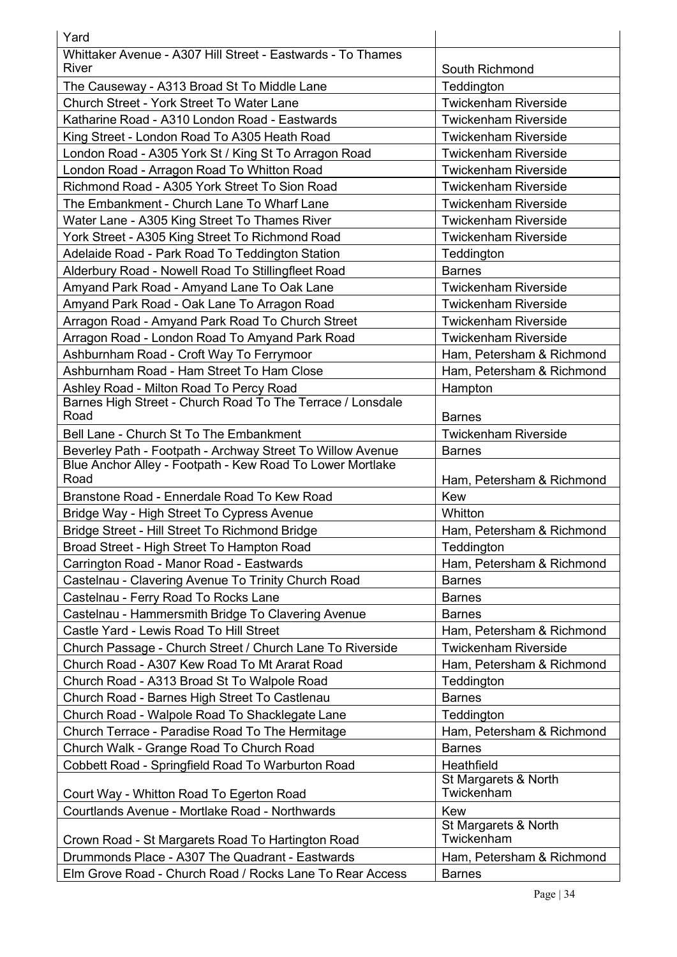| Yard                                                               |                                    |
|--------------------------------------------------------------------|------------------------------------|
| Whittaker Avenue - A307 Hill Street - Eastwards - To Thames        |                                    |
| River                                                              | South Richmond                     |
| The Causeway - A313 Broad St To Middle Lane                        | Teddington                         |
| Church Street - York Street To Water Lane                          | <b>Twickenham Riverside</b>        |
| Katharine Road - A310 London Road - Eastwards                      | <b>Twickenham Riverside</b>        |
| King Street - London Road To A305 Heath Road                       | <b>Twickenham Riverside</b>        |
| London Road - A305 York St / King St To Arragon Road               | <b>Twickenham Riverside</b>        |
| London Road - Arragon Road To Whitton Road                         | <b>Twickenham Riverside</b>        |
| Richmond Road - A305 York Street To Sion Road                      | <b>Twickenham Riverside</b>        |
| The Embankment - Church Lane To Wharf Lane                         | <b>Twickenham Riverside</b>        |
| Water Lane - A305 King Street To Thames River                      | <b>Twickenham Riverside</b>        |
| York Street - A305 King Street To Richmond Road                    | <b>Twickenham Riverside</b>        |
| Adelaide Road - Park Road To Teddington Station                    | Teddington                         |
| Alderbury Road - Nowell Road To Stillingfleet Road                 | <b>Barnes</b>                      |
| Amyand Park Road - Amyand Lane To Oak Lane                         | <b>Twickenham Riverside</b>        |
| Amyand Park Road - Oak Lane To Arragon Road                        | <b>Twickenham Riverside</b>        |
| Arragon Road - Amyand Park Road To Church Street                   | <b>Twickenham Riverside</b>        |
| Arragon Road - London Road To Amyand Park Road                     | <b>Twickenham Riverside</b>        |
| Ashburnham Road - Croft Way To Ferrymoor                           | Ham, Petersham & Richmond          |
| Ashburnham Road - Ham Street To Ham Close                          | Ham, Petersham & Richmond          |
| Ashley Road - Milton Road To Percy Road                            | Hampton                            |
| Barnes High Street - Church Road To The Terrace / Lonsdale<br>Road | <b>Barnes</b>                      |
| Bell Lane - Church St To The Embankment                            | <b>Twickenham Riverside</b>        |
| Beverley Path - Footpath - Archway Street To Willow Avenue         | <b>Barnes</b>                      |
| Blue Anchor Alley - Footpath - Kew Road To Lower Mortlake<br>Road  | Ham, Petersham & Richmond          |
| Branstone Road - Ennerdale Road To Kew Road                        | <b>Kew</b>                         |
| Bridge Way - High Street To Cypress Avenue                         | Whitton                            |
| Bridge Street - Hill Street To Richmond Bridge                     | Ham, Petersham & Richmond          |
| Broad Street - High Street To Hampton Road                         | Teddington                         |
| Carrington Road - Manor Road - Eastwards                           | Ham, Petersham & Richmond          |
| Castelnau - Clavering Avenue To Trinity Church Road                | <b>Barnes</b>                      |
| Castelnau - Ferry Road To Rocks Lane                               | <b>Barnes</b>                      |
| Castelnau - Hammersmith Bridge To Clavering Avenue                 | <b>Barnes</b>                      |
| Castle Yard - Lewis Road To Hill Street                            | Ham, Petersham & Richmond          |
| Church Passage - Church Street / Church Lane To Riverside          | <b>Twickenham Riverside</b>        |
| Church Road - A307 Kew Road To Mt Ararat Road                      | Ham, Petersham & Richmond          |
| Church Road - A313 Broad St To Walpole Road                        | Teddington                         |
| Church Road - Barnes High Street To Castlenau                      | <b>Barnes</b>                      |
| Church Road - Walpole Road To Shacklegate Lane                     | Teddington                         |
| Church Terrace - Paradise Road To The Hermitage                    | Ham, Petersham & Richmond          |
| Church Walk - Grange Road To Church Road                           | <b>Barnes</b>                      |
| Cobbett Road - Springfield Road To Warburton Road                  | Heathfield                         |
| Court Way - Whitton Road To Egerton Road                           | St Margarets & North<br>Twickenham |
| Courtlands Avenue - Mortlake Road - Northwards                     | Kew                                |
| Crown Road - St Margarets Road To Hartington Road                  | St Margarets & North<br>Twickenham |
| Drummonds Place - A307 The Quadrant - Eastwards                    | Ham, Petersham & Richmond          |
| Elm Grove Road - Church Road / Rocks Lane To Rear Access           | <b>Barnes</b>                      |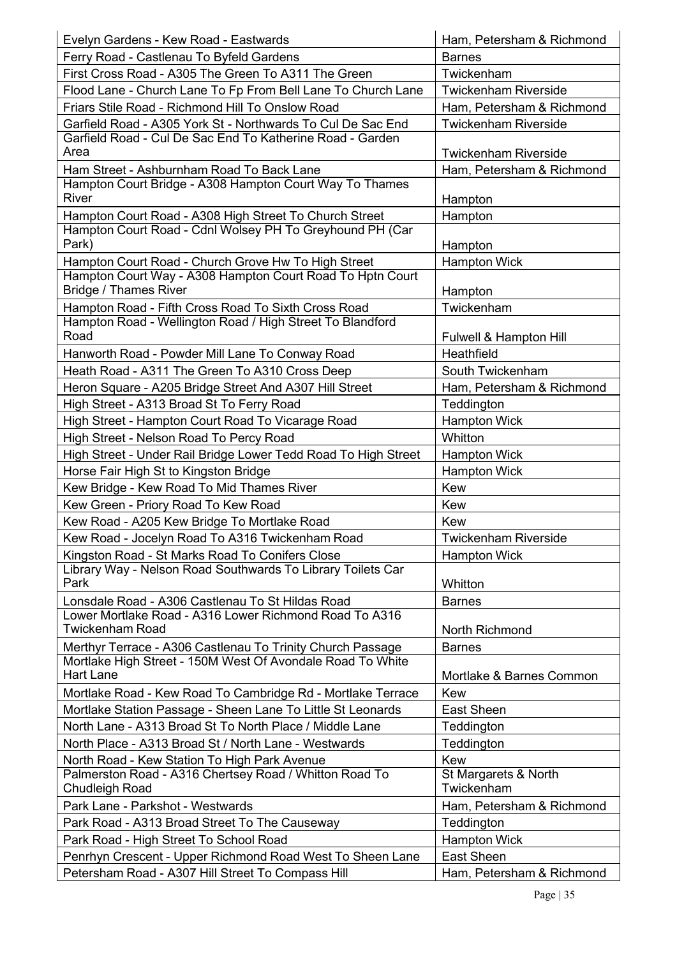| Evelyn Gardens - Kew Road - Eastwards                                                     | Ham, Petersham & Richmond          |
|-------------------------------------------------------------------------------------------|------------------------------------|
| Ferry Road - Castlenau To Byfeld Gardens                                                  | <b>Barnes</b>                      |
| First Cross Road - A305 The Green To A311 The Green                                       | Twickenham                         |
| Flood Lane - Church Lane To Fp From Bell Lane To Church Lane                              | <b>Twickenham Riverside</b>        |
| Friars Stile Road - Richmond Hill To Onslow Road                                          | Ham, Petersham & Richmond          |
| Garfield Road - A305 York St - Northwards To Cul De Sac End                               | <b>Twickenham Riverside</b>        |
| Garfield Road - Cul De Sac End To Katherine Road - Garden                                 |                                    |
| Area                                                                                      | <b>Twickenham Riverside</b>        |
| Ham Street - Ashburnham Road To Back Lane                                                 | Ham, Petersham & Richmond          |
| Hampton Court Bridge - A308 Hampton Court Way To Thames                                   |                                    |
| <b>River</b>                                                                              | Hampton                            |
| Hampton Court Road - A308 High Street To Church Street                                    | Hampton                            |
| Hampton Court Road - Cdnl Wolsey PH To Greyhound PH (Car                                  |                                    |
| Park)                                                                                     | Hampton                            |
| Hampton Court Road - Church Grove Hw To High Street                                       | <b>Hampton Wick</b>                |
| Hampton Court Way - A308 Hampton Court Road To Hptn Court<br><b>Bridge / Thames River</b> | Hampton                            |
| Hampton Road - Fifth Cross Road To Sixth Cross Road                                       | Twickenham                         |
| Hampton Road - Wellington Road / High Street To Blandford                                 |                                    |
| Road                                                                                      | Fulwell & Hampton Hill             |
| Hanworth Road - Powder Mill Lane To Conway Road                                           | Heathfield                         |
| Heath Road - A311 The Green To A310 Cross Deep                                            | South Twickenham                   |
| Heron Square - A205 Bridge Street And A307 Hill Street                                    | Ham, Petersham & Richmond          |
| High Street - A313 Broad St To Ferry Road                                                 | Teddington                         |
| High Street - Hampton Court Road To Vicarage Road                                         | <b>Hampton Wick</b>                |
| High Street - Nelson Road To Percy Road                                                   | Whitton                            |
| High Street - Under Rail Bridge Lower Tedd Road To High Street                            | <b>Hampton Wick</b>                |
| Horse Fair High St to Kingston Bridge                                                     | <b>Hampton Wick</b>                |
| Kew Bridge - Kew Road To Mid Thames River                                                 | Kew                                |
| Kew Green - Priory Road To Kew Road                                                       | Kew                                |
| Kew Road - A205 Kew Bridge To Mortlake Road                                               | Kew                                |
| Kew Road - Jocelyn Road To A316 Twickenham Road                                           | <b>Twickenham Riverside</b>        |
| Kingston Road - St Marks Road To Conifers Close                                           | <b>Hampton Wick</b>                |
| Library Way - Nelson Road Southwards To Library Toilets Car                               |                                    |
| Park                                                                                      | Whitton                            |
| Lonsdale Road - A306 Castlenau To St Hildas Road                                          | <b>Barnes</b>                      |
| Lower Mortlake Road - A316 Lower Richmond Road To A316                                    |                                    |
| <b>Twickenham Road</b>                                                                    | North Richmond                     |
| Merthyr Terrace - A306 Castlenau To Trinity Church Passage                                | <b>Barnes</b>                      |
| Mortlake High Street - 150M West Of Avondale Road To White<br>Hart Lane                   |                                    |
|                                                                                           | Mortlake & Barnes Common           |
| Mortlake Road - Kew Road To Cambridge Rd - Mortlake Terrace                               | Kew                                |
| Mortlake Station Passage - Sheen Lane To Little St Leonards                               | East Sheen                         |
| North Lane - A313 Broad St To North Place / Middle Lane                                   | Teddington                         |
| North Place - A313 Broad St / North Lane - Westwards                                      | Teddington                         |
| North Road - Kew Station To High Park Avenue                                              | Kew                                |
| Palmerston Road - A316 Chertsey Road / Whitton Road To<br><b>Chudleigh Road</b>           | St Margarets & North<br>Twickenham |
| Park Lane - Parkshot - Westwards                                                          | Ham, Petersham & Richmond          |
| Park Road - A313 Broad Street To The Causeway                                             | Teddington                         |
| Park Road - High Street To School Road                                                    | <b>Hampton Wick</b>                |
| Penrhyn Crescent - Upper Richmond Road West To Sheen Lane                                 | <b>East Sheen</b>                  |
| Petersham Road - A307 Hill Street To Compass Hill                                         | Ham, Petersham & Richmond          |
|                                                                                           |                                    |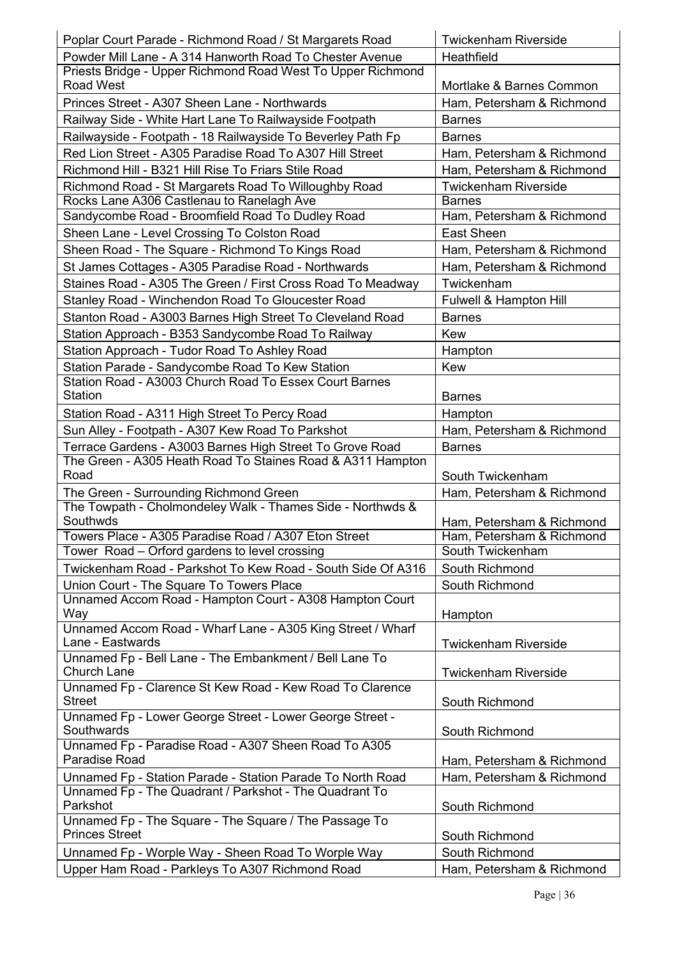| Poplar Court Parade - Richmond Road / St Margarets Road                                               | <b>Twickenham Riverside</b>                            |
|-------------------------------------------------------------------------------------------------------|--------------------------------------------------------|
| Powder Mill Lane - A 314 Hanworth Road To Chester Avenue                                              | Heathfield                                             |
| Priests Bridge - Upper Richmond Road West To Upper Richmond                                           |                                                        |
| <b>Road West</b>                                                                                      | Mortlake & Barnes Common                               |
| Princes Street - A307 Sheen Lane - Northwards                                                         | Ham, Petersham & Richmond                              |
| Railway Side - White Hart Lane To Railwayside Footpath                                                | <b>Barnes</b>                                          |
| Railwayside - Footpath - 18 Railwayside To Beverley Path Fp                                           | <b>Barnes</b>                                          |
| Red Lion Street - A305 Paradise Road To A307 Hill Street                                              | Ham, Petersham & Richmond                              |
| Richmond Hill - B321 Hill Rise To Friars Stile Road                                                   | Ham, Petersham & Richmond                              |
| Richmond Road - St Margarets Road To Willoughby Road                                                  | <b>Twickenham Riverside</b>                            |
| Rocks Lane A306 Castlenau to Ranelagh Ave                                                             | <b>Barnes</b>                                          |
| Sandycombe Road - Broomfield Road To Dudley Road                                                      | Ham, Petersham & Richmond                              |
| Sheen Lane - Level Crossing To Colston Road                                                           | <b>East Sheen</b>                                      |
| Sheen Road - The Square - Richmond To Kings Road                                                      | Ham, Petersham & Richmond                              |
| St James Cottages - A305 Paradise Road - Northwards                                                   | Ham, Petersham & Richmond                              |
| Staines Road - A305 The Green / First Cross Road To Meadway                                           | Twickenham                                             |
| Stanley Road - Winchendon Road To Gloucester Road                                                     | Fulwell & Hampton Hill                                 |
| Stanton Road - A3003 Barnes High Street To Cleveland Road                                             | <b>Barnes</b>                                          |
| Station Approach - B353 Sandycombe Road To Railway                                                    | Kew                                                    |
| Station Approach - Tudor Road To Ashley Road                                                          | Hampton                                                |
| Station Parade - Sandycombe Road To Kew Station                                                       | Kew                                                    |
| Station Road - A3003 Church Road To Essex Court Barnes                                                |                                                        |
| <b>Station</b>                                                                                        | <b>Barnes</b>                                          |
| Station Road - A311 High Street To Percy Road                                                         | Hampton                                                |
| Sun Alley - Footpath - A307 Kew Road To Parkshot                                                      | Ham, Petersham & Richmond                              |
| Terrace Gardens - A3003 Barnes High Street To Grove Road                                              | <b>Barnes</b>                                          |
|                                                                                                       |                                                        |
| The Green - A305 Heath Road To Staines Road & A311 Hampton                                            |                                                        |
| Road                                                                                                  | South Twickenham                                       |
| The Green - Surrounding Richmond Green                                                                | Ham, Petersham & Richmond                              |
| The Towpath - Cholmondeley Walk - Thames Side - Northwds &<br>Southwds                                |                                                        |
| Towers Place - A305 Paradise Road / A307 Eton Street                                                  | Ham, Petersham & Richmond<br>Ham, Petersham & Richmond |
| Tower Road – Orford gardens to level crossing                                                         | South Twickenham                                       |
| Twickenham Road - Parkshot To Kew Road - South Side Of A316                                           | South Richmond                                         |
|                                                                                                       | South Richmond                                         |
| Union Court - The Square To Towers Place<br>Unnamed Accom Road - Hampton Court - A308 Hampton Court   |                                                        |
| Way                                                                                                   | Hampton                                                |
| Unnamed Accom Road - Wharf Lane - A305 King Street / Wharf                                            |                                                        |
| Lane - Eastwards                                                                                      | <b>Twickenham Riverside</b>                            |
| Unnamed Fp - Bell Lane - The Embankment / Bell Lane To<br><b>Church Lane</b>                          | <b>Twickenham Riverside</b>                            |
| Unnamed Fp - Clarence St Kew Road - Kew Road To Clarence                                              |                                                        |
| <b>Street</b>                                                                                         | South Richmond                                         |
| Unnamed Fp - Lower George Street - Lower George Street -<br>Southwards                                | South Richmond                                         |
| Unnamed Fp - Paradise Road - A307 Sheen Road To A305                                                  |                                                        |
| <b>Paradise Road</b>                                                                                  | Ham, Petersham & Richmond                              |
| Unnamed Fp - Station Parade - Station Parade To North Road                                            | Ham, Petersham & Richmond                              |
| Unnamed Fp - The Quadrant / Parkshot - The Quadrant To<br>Parkshot                                    | South Richmond                                         |
| Unnamed Fp - The Square - The Square / The Passage To<br><b>Princes Street</b>                        |                                                        |
|                                                                                                       | South Richmond                                         |
| Unnamed Fp - Worple Way - Sheen Road To Worple Way<br>Upper Ham Road - Parkleys To A307 Richmond Road | South Richmond<br>Ham, Petersham & Richmond            |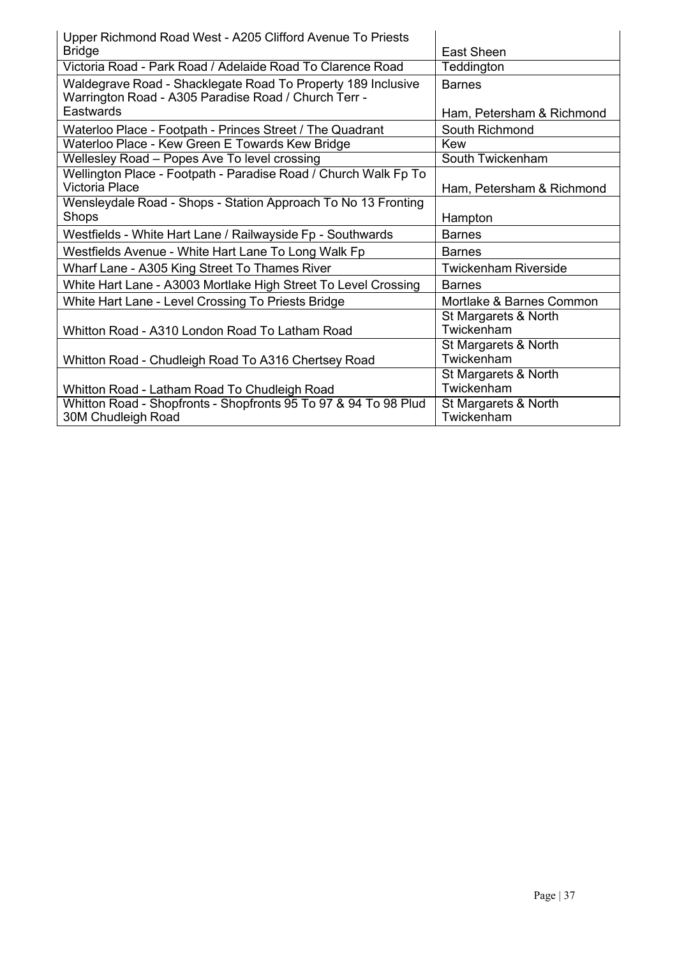| Upper Richmond Road West - A205 Clifford Avenue To Priests                                                           |                                    |
|----------------------------------------------------------------------------------------------------------------------|------------------------------------|
| <b>Bridge</b>                                                                                                        | East Sheen                         |
| Victoria Road - Park Road / Adelaide Road To Clarence Road                                                           | Teddington                         |
| Waldegrave Road - Shacklegate Road To Property 189 Inclusive<br>Warrington Road - A305 Paradise Road / Church Terr - | <b>Barnes</b>                      |
| Eastwards                                                                                                            | Ham, Petersham & Richmond          |
| Waterloo Place - Footpath - Princes Street / The Quadrant                                                            | South Richmond                     |
| Waterloo Place - Kew Green E Towards Kew Bridge                                                                      | Kew                                |
| Wellesley Road - Popes Ave To level crossing                                                                         | South Twickenham                   |
| Wellington Place - Footpath - Paradise Road / Church Walk Fp To<br><b>Victoria Place</b>                             | Ham, Petersham & Richmond          |
| Wensleydale Road - Shops - Station Approach To No 13 Fronting<br>Shops                                               | Hampton                            |
| Westfields - White Hart Lane / Railwayside Fp - Southwards                                                           | <b>Barnes</b>                      |
| Westfields Avenue - White Hart Lane To Long Walk Fp                                                                  | <b>Barnes</b>                      |
| Wharf Lane - A305 King Street To Thames River                                                                        | <b>Twickenham Riverside</b>        |
| White Hart Lane - A3003 Mortlake High Street To Level Crossing                                                       | <b>Barnes</b>                      |
| White Hart Lane - Level Crossing To Priests Bridge                                                                   | Mortlake & Barnes Common           |
| Whitton Road - A310 London Road To Latham Road                                                                       | St Margarets & North<br>Twickenham |
| Whitton Road - Chudleigh Road To A316 Chertsey Road                                                                  | St Margarets & North<br>Twickenham |
| Whitton Road - Latham Road To Chudleigh Road                                                                         | St Margarets & North<br>Twickenham |
| Whitton Road - Shopfronts - Shopfronts 95 To 97 & 94 To 98 Plud<br>30M Chudleigh Road                                | St Margarets & North<br>Twickenham |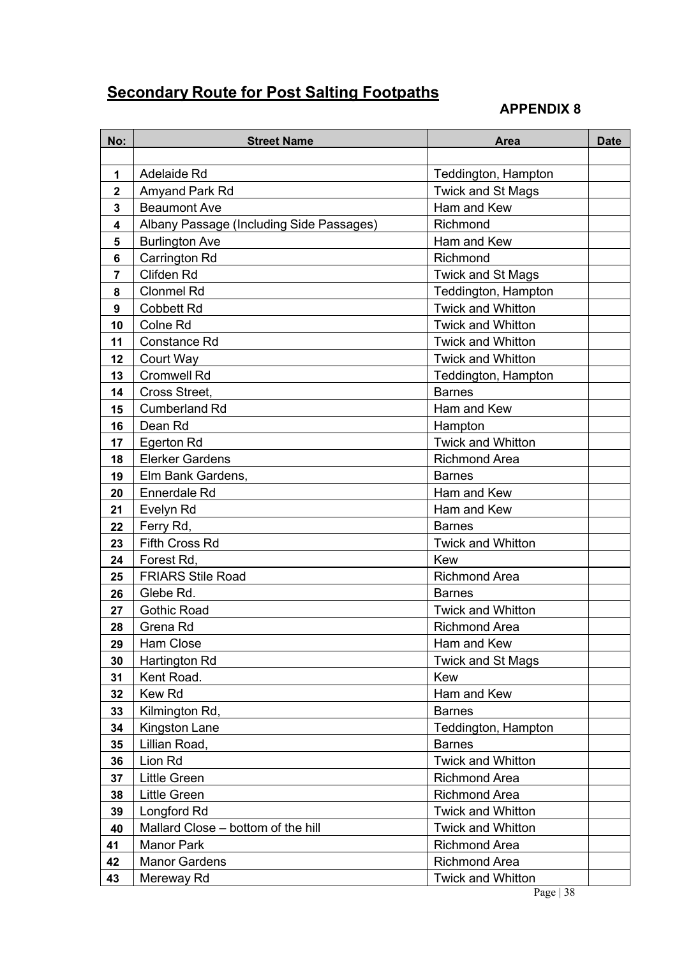# **Secondary Route for Post Salting Footpaths**

| No:                     | <b>Street Name</b>                       | Area                     | <b>Date</b> |
|-------------------------|------------------------------------------|--------------------------|-------------|
|                         |                                          |                          |             |
| 1                       | <b>Adelaide Rd</b>                       | Teddington, Hampton      |             |
| $\overline{\mathbf{2}}$ | Amyand Park Rd                           | <b>Twick and St Mags</b> |             |
| 3                       | <b>Beaumont Ave</b>                      | Ham and Kew              |             |
| 4                       | Albany Passage (Including Side Passages) | Richmond                 |             |
| 5                       | <b>Burlington Ave</b>                    | Ham and Kew              |             |
| 6                       | <b>Carrington Rd</b>                     | Richmond                 |             |
| 7                       | <b>Clifden Rd</b>                        | <b>Twick and St Mags</b> |             |
| 8                       | <b>Clonmel Rd</b>                        | Teddington, Hampton      |             |
| 9                       | <b>Cobbett Rd</b>                        | <b>Twick and Whitton</b> |             |
| 10                      | Colne Rd                                 | <b>Twick and Whitton</b> |             |
| 11                      | <b>Constance Rd</b>                      | <b>Twick and Whitton</b> |             |
| 12                      | Court Way                                | <b>Twick and Whitton</b> |             |
| 13                      | <b>Cromwell Rd</b>                       | Teddington, Hampton      |             |
| 14                      | Cross Street,                            | <b>Barnes</b>            |             |
| 15                      | <b>Cumberland Rd</b>                     | Ham and Kew              |             |
| 16                      | Dean Rd                                  | Hampton                  |             |
| 17                      | <b>Egerton Rd</b>                        | <b>Twick and Whitton</b> |             |
| 18                      | <b>Elerker Gardens</b>                   | <b>Richmond Area</b>     |             |
| 19                      | Elm Bank Gardens,                        | <b>Barnes</b>            |             |
| 20                      | <b>Ennerdale Rd</b>                      | Ham and Kew              |             |
| 21                      | Evelyn Rd                                | Ham and Kew              |             |
| 22                      | Ferry Rd,                                | <b>Barnes</b>            |             |
| 23                      | <b>Fifth Cross Rd</b>                    | <b>Twick and Whitton</b> |             |
| 24                      | Forest Rd,                               | Kew                      |             |
| 25                      | <b>FRIARS Stile Road</b>                 | <b>Richmond Area</b>     |             |
| 26                      | Glebe Rd.                                | <b>Barnes</b>            |             |
| 27                      | <b>Gothic Road</b>                       | <b>Twick and Whitton</b> |             |
| 28                      | Grena Rd                                 | <b>Richmond Area</b>     |             |
| 29                      | Ham Close                                | Ham and Kew              |             |
| 30                      | Hartington Rd                            | <b>Twick and St Mags</b> |             |
| 31                      | Kent Road.                               | Kew                      |             |
| 32                      | <b>Kew Rd</b>                            | Ham and Kew              |             |
| 33                      | Kilmington Rd,                           | <b>Barnes</b>            |             |
| 34                      | Kingston Lane                            | Teddington, Hampton      |             |
| 35                      | Lillian Road,                            | <b>Barnes</b>            |             |
| 36                      | Lion Rd                                  | <b>Twick and Whitton</b> |             |
| 37                      | Little Green                             | <b>Richmond Area</b>     |             |
| 38                      | <b>Little Green</b>                      | <b>Richmond Area</b>     |             |
| 39                      | Longford Rd                              | <b>Twick and Whitton</b> |             |
| 40                      | Mallard Close - bottom of the hill       | <b>Twick and Whitton</b> |             |
| 41                      | <b>Manor Park</b>                        | <b>Richmond Area</b>     |             |
| 42                      | <b>Manor Gardens</b>                     | <b>Richmond Area</b>     |             |
| 43                      | Mereway Rd                               | <b>Twick and Whitton</b> |             |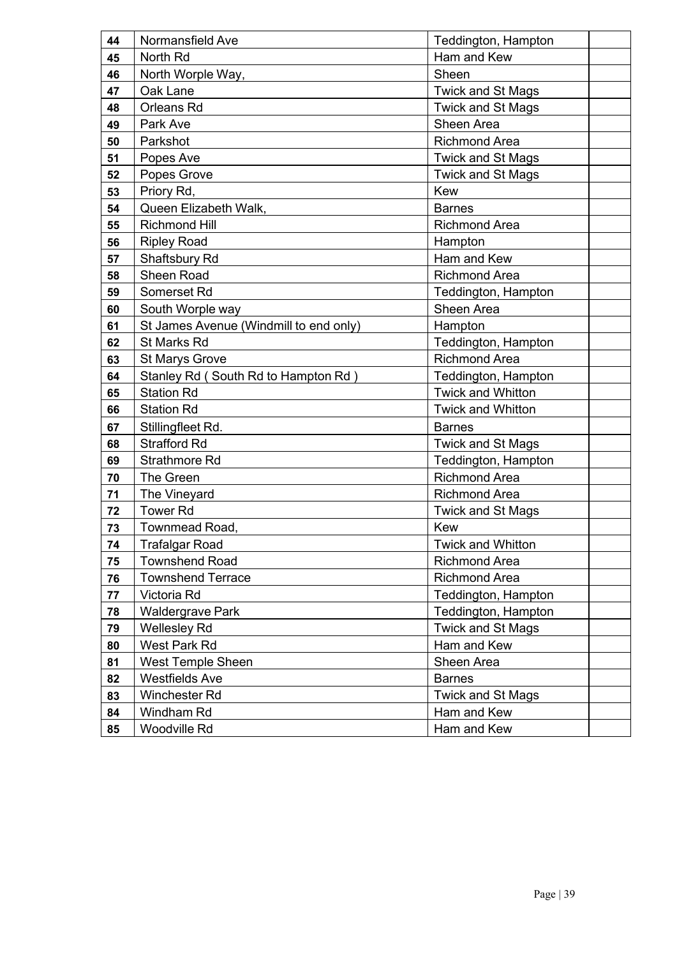| 44 | Normansfield Ave                       | Teddington, Hampton      |  |
|----|----------------------------------------|--------------------------|--|
| 45 | North Rd                               | Ham and Kew              |  |
| 46 | North Worple Way,                      | Sheen                    |  |
| 47 | Oak Lane                               | <b>Twick and St Mags</b> |  |
| 48 | Orleans Rd                             | <b>Twick and St Mags</b> |  |
| 49 | Park Ave                               | Sheen Area               |  |
| 50 | Parkshot                               | <b>Richmond Area</b>     |  |
| 51 | Popes Ave                              | <b>Twick and St Mags</b> |  |
| 52 | Popes Grove                            | <b>Twick and St Mags</b> |  |
| 53 | Priory Rd,                             | Kew                      |  |
| 54 | Queen Elizabeth Walk,                  | <b>Barnes</b>            |  |
| 55 | <b>Richmond Hill</b>                   | <b>Richmond Area</b>     |  |
| 56 | <b>Ripley Road</b>                     | Hampton                  |  |
| 57 | Shaftsbury Rd                          | Ham and Kew              |  |
| 58 | Sheen Road                             | <b>Richmond Area</b>     |  |
| 59 | Somerset Rd                            | Teddington, Hampton      |  |
| 60 | South Worple way                       | Sheen Area               |  |
| 61 | St James Avenue (Windmill to end only) | Hampton                  |  |
| 62 | <b>St Marks Rd</b>                     | Teddington, Hampton      |  |
| 63 | <b>St Marys Grove</b>                  | <b>Richmond Area</b>     |  |
| 64 | Stanley Rd (South Rd to Hampton Rd)    | Teddington, Hampton      |  |
| 65 | <b>Station Rd</b>                      | <b>Twick and Whitton</b> |  |
| 66 | <b>Station Rd</b>                      | <b>Twick and Whitton</b> |  |
| 67 | Stillingfleet Rd.                      | <b>Barnes</b>            |  |
| 68 | <b>Strafford Rd</b>                    | <b>Twick and St Mags</b> |  |
| 69 | <b>Strathmore Rd</b>                   | Teddington, Hampton      |  |
| 70 | The Green                              | <b>Richmond Area</b>     |  |
| 71 | The Vineyard                           | <b>Richmond Area</b>     |  |
| 72 | <b>Tower Rd</b>                        | <b>Twick and St Mags</b> |  |
| 73 | Townmead Road,                         | Kew                      |  |
| 74 | Trafalgar Road                         | Twick and Whitton        |  |
| 75 | <b>Townshend Road</b>                  | <b>Richmond Area</b>     |  |
| 76 | <b>Townshend Terrace</b>               | <b>Richmond Area</b>     |  |
| 77 | Victoria Rd                            | Teddington, Hampton      |  |
| 78 | <b>Waldergrave Park</b>                | Teddington, Hampton      |  |
| 79 | <b>Wellesley Rd</b>                    | <b>Twick and St Mags</b> |  |
| 80 | West Park Rd                           | Ham and Kew              |  |
| 81 | <b>West Temple Sheen</b>               | Sheen Area               |  |
| 82 | <b>Westfields Ave</b>                  | <b>Barnes</b>            |  |
| 83 | <b>Winchester Rd</b>                   | <b>Twick and St Mags</b> |  |
| 84 | Windham Rd                             | Ham and Kew              |  |
| 85 | Woodville Rd                           | Ham and Kew              |  |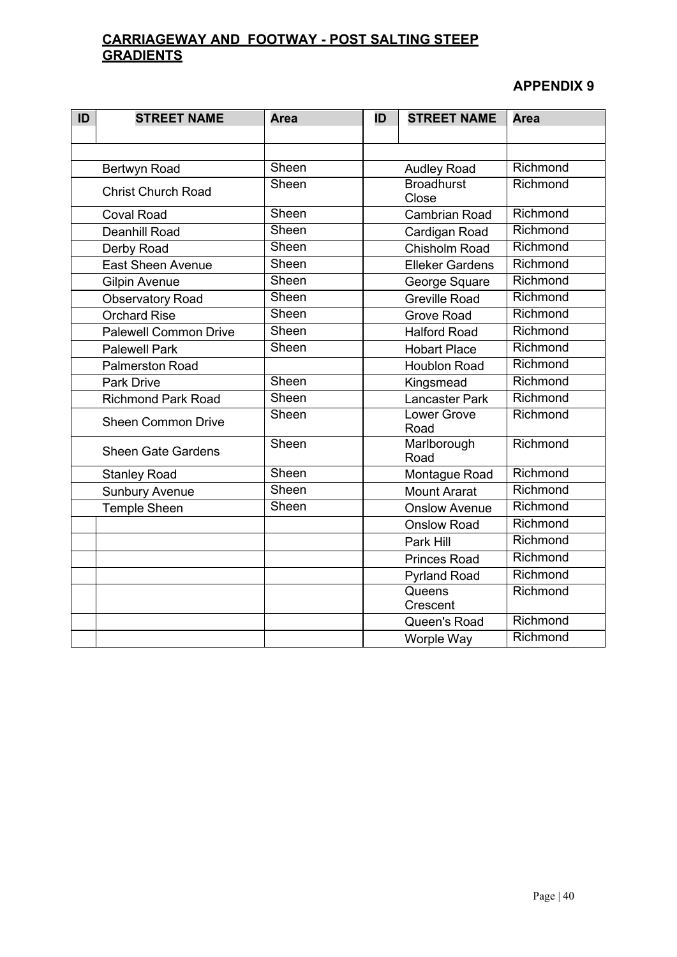## **CARRIAGEWAY AND FOOTWAY - POST SALTING STEEP GRADIENTS**

| ID | <b>STREET NAME</b>           | <b>Area</b> | ID | <b>STREET NAME</b>         | <b>Area</b> |
|----|------------------------------|-------------|----|----------------------------|-------------|
|    |                              |             |    |                            |             |
|    |                              |             |    |                            |             |
|    | Bertwyn Road                 | Sheen       |    | <b>Audley Road</b>         | Richmond    |
|    | <b>Christ Church Road</b>    | Sheen       |    | <b>Broadhurst</b><br>Close | Richmond    |
|    | <b>Coval Road</b>            | Sheen       |    | <b>Cambrian Road</b>       | Richmond    |
|    | <b>Deanhill Road</b>         | Sheen       |    | Cardigan Road              | Richmond    |
|    | Derby Road                   | Sheen       |    | Chisholm Road              | Richmond    |
|    | <b>East Sheen Avenue</b>     | Sheen       |    | <b>Elleker Gardens</b>     | Richmond    |
|    | <b>Gilpin Avenue</b>         | Sheen       |    | George Square              | Richmond    |
|    | <b>Observatory Road</b>      | Sheen       |    | <b>Greville Road</b>       | Richmond    |
|    | <b>Orchard Rise</b>          | Sheen       |    | <b>Grove Road</b>          | Richmond    |
|    | <b>Palewell Common Drive</b> | Sheen       |    | <b>Halford Road</b>        | Richmond    |
|    | <b>Palewell Park</b>         | Sheen       |    | <b>Hobart Place</b>        | Richmond    |
|    | <b>Palmerston Road</b>       |             |    | <b>Houblon Road</b>        | Richmond    |
|    | <b>Park Drive</b>            | Sheen       |    | Kingsmead                  | Richmond    |
|    | <b>Richmond Park Road</b>    | Sheen       |    | <b>Lancaster Park</b>      | Richmond    |
|    | <b>Sheen Common Drive</b>    | Sheen       |    | <b>Lower Grove</b><br>Road | Richmond    |
|    | <b>Sheen Gate Gardens</b>    | Sheen       |    | Marlborough<br>Road        | Richmond    |
|    | <b>Stanley Road</b>          | Sheen       |    | Montague Road              | Richmond    |
|    | <b>Sunbury Avenue</b>        | Sheen       |    | <b>Mount Ararat</b>        | Richmond    |
|    | <b>Temple Sheen</b>          | Sheen       |    | <b>Onslow Avenue</b>       | Richmond    |
|    |                              |             |    | <b>Onslow Road</b>         | Richmond    |
|    |                              |             |    | Park Hill                  | Richmond    |
|    |                              |             |    | <b>Princes Road</b>        | Richmond    |
|    |                              |             |    | <b>Pyrland Road</b>        | Richmond    |
|    |                              |             |    | Queens<br>Crescent         | Richmond    |
|    |                              |             |    | Queen's Road               | Richmond    |
|    |                              |             |    | Worple Way                 | Richmond    |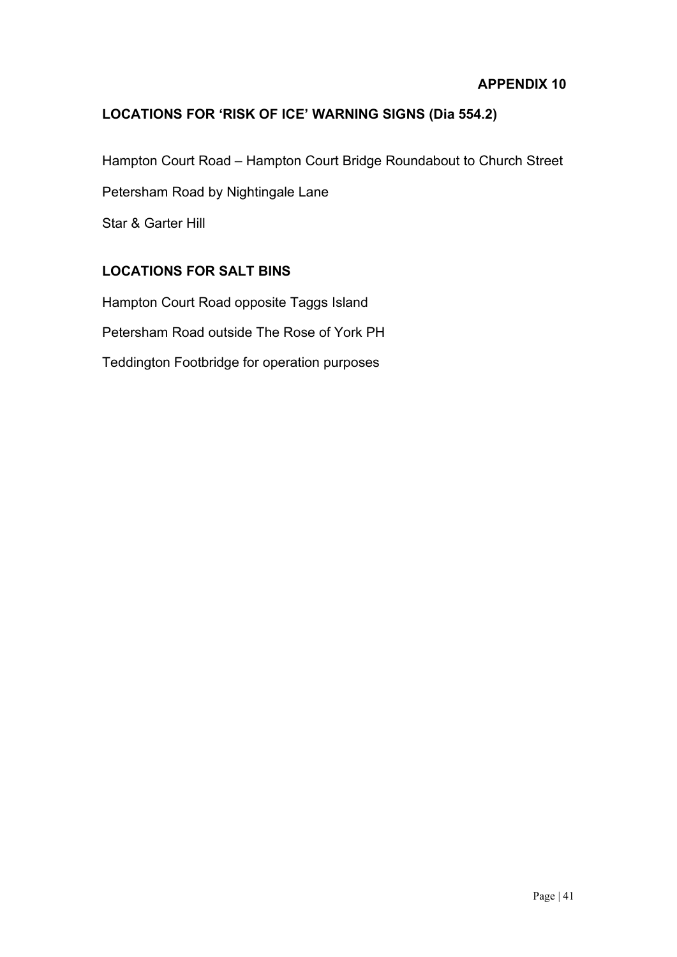#### **LOCATIONS FOR 'RISK OF ICE' WARNING SIGNS (Dia 554.2)**

Hampton Court Road – Hampton Court Bridge Roundabout to Church Street

Petersham Road by Nightingale Lane

Star & Garter Hill

#### **LOCATIONS FOR SALT BINS**

Hampton Court Road opposite Taggs Island Petersham Road outside The Rose of York PH Teddington Footbridge for operation purposes